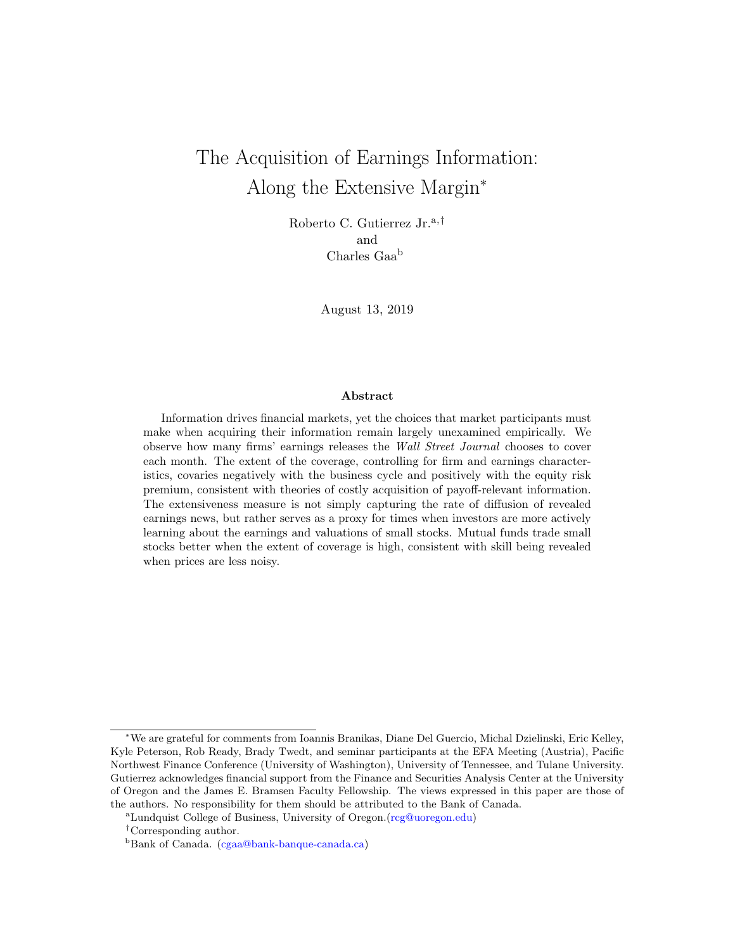# The Acquisition of Earnings Information: Along the Extensive Margin<sup>∗</sup>

Roberto C. Gutierrez Jr.<sup>a,†</sup> and Charles Gaa<sup>b</sup>

August 13, 2019

#### Abstract

Information drives financial markets, yet the choices that market participants must make when acquiring their information remain largely unexamined empirically. We observe how many firms' earnings releases the Wall Street Journal chooses to cover each month. The extent of the coverage, controlling for firm and earnings characteristics, covaries negatively with the business cycle and positively with the equity risk premium, consistent with theories of costly acquisition of payoff-relevant information. The extensiveness measure is not simply capturing the rate of diffusion of revealed earnings news, but rather serves as a proxy for times when investors are more actively learning about the earnings and valuations of small stocks. Mutual funds trade small stocks better when the extent of coverage is high, consistent with skill being revealed when prices are less noisy.

<sup>∗</sup>We are grateful for comments from Ioannis Branikas, Diane Del Guercio, Michal Dzielinski, Eric Kelley, Kyle Peterson, Rob Ready, Brady Twedt, and seminar participants at the EFA Meeting (Austria), Pacific Northwest Finance Conference (University of Washington), University of Tennessee, and Tulane University. Gutierrez acknowledges financial support from the Finance and Securities Analysis Center at the University of Oregon and the James E. Bramsen Faculty Fellowship. The views expressed in this paper are those of the authors. No responsibility for them should be attributed to the Bank of Canada.

<sup>a</sup>Lundquist College of Business, University of Oregon.[\(rcg@uoregon.edu\)](mailto:rcg@uoregon.edu)

<sup>†</sup>Corresponding author.

<sup>&</sup>lt;sup>b</sup>Bank of Canada. [\(cgaa@bank-banque-canada.ca\)](mailto:cgaa@bank-banque-canada.ca)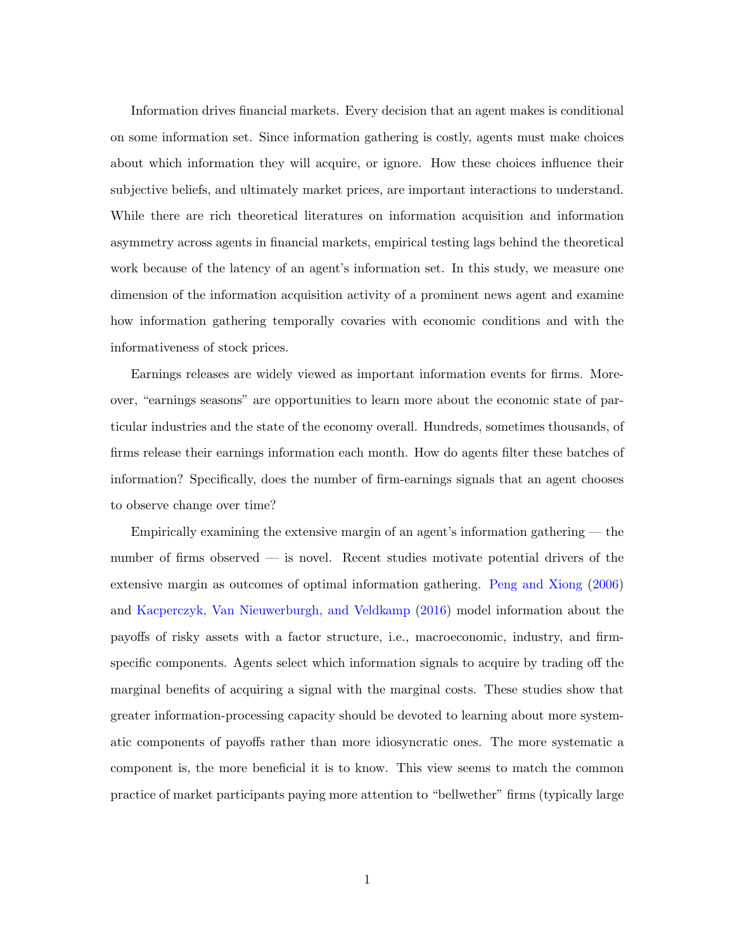<span id="page-1-0"></span>Information drives financial markets. Every decision that an agent makes is conditional on some information set. Since information gathering is costly, agents must make choices about which information they will acquire, or ignore. How these choices influence their subjective beliefs, and ultimately market prices, are important interactions to understand. While there are rich theoretical literatures on information acquisition and information asymmetry across agents in financial markets, empirical testing lags behind the theoretical work because of the latency of an agent's information set. In this study, we measure one dimension of the information acquisition activity of a prominent news agent and examine how information gathering temporally covaries with economic conditions and with the informativeness of stock prices.

Earnings releases are widely viewed as important information events for firms. Moreover, "earnings seasons" are opportunities to learn more about the economic state of particular industries and the state of the economy overall. Hundreds, sometimes thousands, of firms release their earnings information each month. How do agents filter these batches of information? Specifically, does the number of firm-earnings signals that an agent chooses to observe change over time?

Empirically examining the extensive margin of an agent's information gathering — the number of firms observed — is novel. Recent studies motivate potential drivers of the extensive margin as outcomes of optimal information gathering. [Peng and Xiong](#page-37-0) [\(2006\)](#page-37-0) and [Kacperczyk, Van Nieuwerburgh, and Veldkamp](#page-36-0) [\(2016\)](#page-36-0) model information about the payoffs of risky assets with a factor structure, i.e., macroeconomic, industry, and firmspecific components. Agents select which information signals to acquire by trading off the marginal benefits of acquiring a signal with the marginal costs. These studies show that greater information-processing capacity should be devoted to learning about more systematic components of payoffs rather than more idiosyncratic ones. The more systematic a component is, the more beneficial it is to know. This view seems to match the common practice of market participants paying more attention to "bellwether" firms (typically large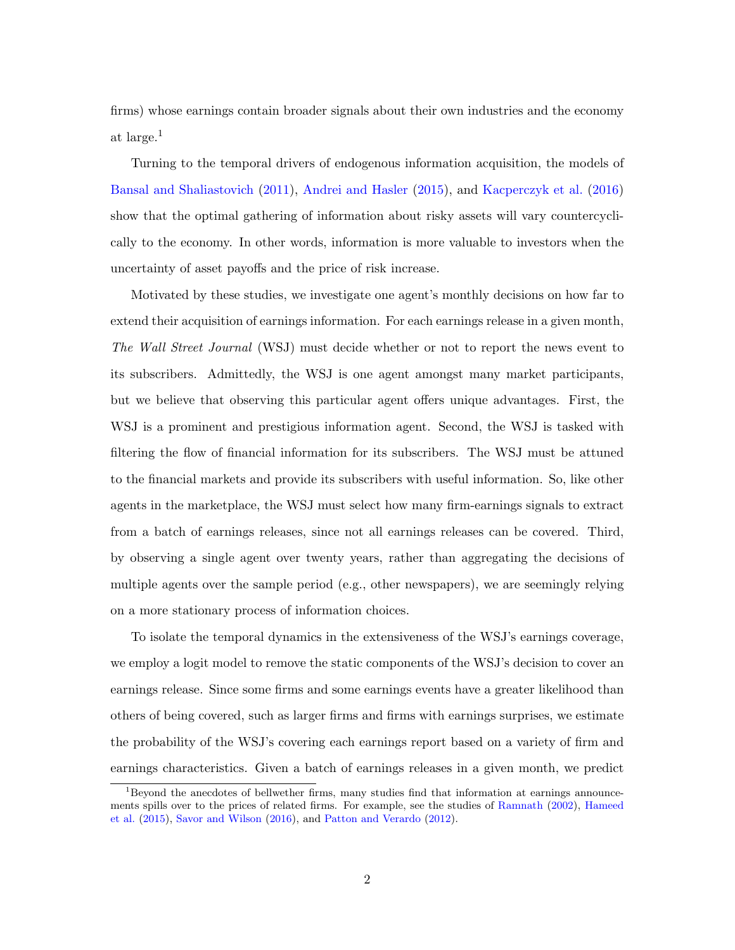<span id="page-2-0"></span>firms) whose earnings contain broader signals about their own industries and the economy at large.<sup>1</sup>

Turning to the temporal drivers of endogenous information acquisition, the models of [Bansal and Shaliastovich](#page-35-0) [\(2011\)](#page-35-0), [Andrei and Hasler](#page-35-1) [\(2015\)](#page-35-1), and [Kacperczyk et al.](#page-36-0) [\(2016\)](#page-36-0) show that the optimal gathering of information about risky assets will vary countercyclically to the economy. In other words, information is more valuable to investors when the uncertainty of asset payoffs and the price of risk increase.

Motivated by these studies, we investigate one agent's monthly decisions on how far to extend their acquisition of earnings information. For each earnings release in a given month, The Wall Street Journal (WSJ) must decide whether or not to report the news event to its subscribers. Admittedly, the WSJ is one agent amongst many market participants, but we believe that observing this particular agent offers unique advantages. First, the WSJ is a prominent and prestigious information agent. Second, the WSJ is tasked with filtering the flow of financial information for its subscribers. The WSJ must be attuned to the financial markets and provide its subscribers with useful information. So, like other agents in the marketplace, the WSJ must select how many firm-earnings signals to extract from a batch of earnings releases, since not all earnings releases can be covered. Third, by observing a single agent over twenty years, rather than aggregating the decisions of multiple agents over the sample period (e.g., other newspapers), we are seemingly relying on a more stationary process of information choices.

To isolate the temporal dynamics in the extensiveness of the WSJ's earnings coverage, we employ a logit model to remove the static components of the WSJ's decision to cover an earnings release. Since some firms and some earnings events have a greater likelihood than others of being covered, such as larger firms and firms with earnings surprises, we estimate the probability of the WSJ's covering each earnings report based on a variety of firm and earnings characteristics. Given a batch of earnings releases in a given month, we predict

<sup>&</sup>lt;sup>1</sup>Beyond the anecdotes of bellwether firms, many studies find that information at earnings announcements spills over to the prices of related firms. For example, see the studies of [Ramnath](#page-37-1) [\(2002\)](#page-37-1), [Hameed](#page-36-1) [et al.](#page-36-1) [\(2015\)](#page-36-1), [Savor and Wilson](#page-37-2) [\(2016\)](#page-37-2), and [Patton and Verardo](#page-37-3) [\(2012\)](#page-37-3).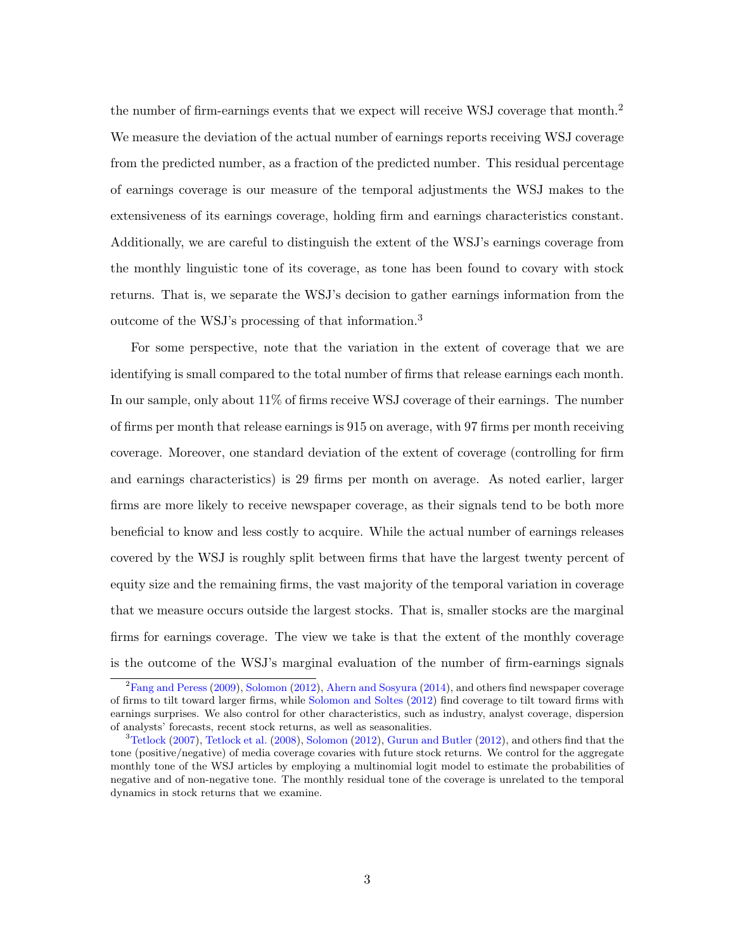<span id="page-3-0"></span>the number of firm-earnings events that we expect will receive WSJ coverage that month.<sup>2</sup> We measure the deviation of the actual number of earnings reports receiving WSJ coverage from the predicted number, as a fraction of the predicted number. This residual percentage of earnings coverage is our measure of the temporal adjustments the WSJ makes to the extensiveness of its earnings coverage, holding firm and earnings characteristics constant. Additionally, we are careful to distinguish the extent of the WSJ's earnings coverage from the monthly linguistic tone of its coverage, as tone has been found to covary with stock returns. That is, we separate the WSJ's decision to gather earnings information from the outcome of the WSJ's processing of that information.<sup>3</sup>

For some perspective, note that the variation in the extent of coverage that we are identifying is small compared to the total number of firms that release earnings each month. In our sample, only about 11% of firms receive WSJ coverage of their earnings. The number of firms per month that release earnings is 915 on average, with 97 firms per month receiving coverage. Moreover, one standard deviation of the extent of coverage (controlling for firm and earnings characteristics) is 29 firms per month on average. As noted earlier, larger firms are more likely to receive newspaper coverage, as their signals tend to be both more beneficial to know and less costly to acquire. While the actual number of earnings releases covered by the WSJ is roughly split between firms that have the largest twenty percent of equity size and the remaining firms, the vast majority of the temporal variation in coverage that we measure occurs outside the largest stocks. That is, smaller stocks are the marginal firms for earnings coverage. The view we take is that the extent of the monthly coverage is the outcome of the WSJ's marginal evaluation of the number of firm-earnings signals

 ${}^{2}$ [Fang and Peress](#page-36-2) [\(2009\)](#page-36-2), [Solomon](#page-37-4) [\(2012\)](#page-37-4), [Ahern and Sosyura](#page-35-2) [\(2014\)](#page-35-2), and others find newspaper coverage of firms to tilt toward larger firms, while [Solomon and Soltes](#page-37-5) [\(2012\)](#page-37-5) find coverage to tilt toward firms with earnings surprises. We also control for other characteristics, such as industry, analyst coverage, dispersion of analysts' forecasts, recent stock returns, as well as seasonalities.

 $3$ [Tetlock](#page-38-0) [\(2007\)](#page-38-0), [Tetlock et al.](#page-38-1) [\(2008\)](#page-38-1), [Solomon](#page-37-4) [\(2012\)](#page-36-3), [Gurun and Butler](#page-36-3) (2012), and others find that the tone (positive/negative) of media coverage covaries with future stock returns. We control for the aggregate monthly tone of the WSJ articles by employing a multinomial logit model to estimate the probabilities of negative and of non-negative tone. The monthly residual tone of the coverage is unrelated to the temporal dynamics in stock returns that we examine.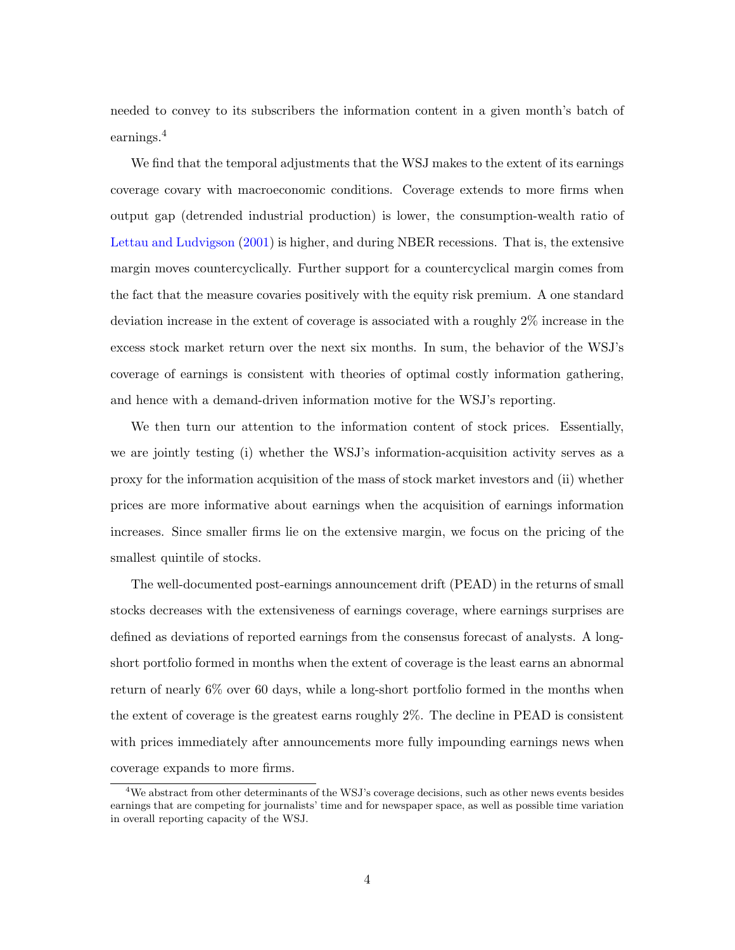<span id="page-4-0"></span>needed to convey to its subscribers the information content in a given month's batch of earnings.<sup>4</sup>

We find that the temporal adjustments that the WSJ makes to the extent of its earnings coverage covary with macroeconomic conditions. Coverage extends to more firms when output gap (detrended industrial production) is lower, the consumption-wealth ratio of [Lettau and Ludvigson](#page-36-4) [\(2001\)](#page-36-4) is higher, and during NBER recessions. That is, the extensive margin moves countercyclically. Further support for a countercyclical margin comes from the fact that the measure covaries positively with the equity risk premium. A one standard deviation increase in the extent of coverage is associated with a roughly 2% increase in the excess stock market return over the next six months. In sum, the behavior of the WSJ's coverage of earnings is consistent with theories of optimal costly information gathering, and hence with a demand-driven information motive for the WSJ's reporting.

We then turn our attention to the information content of stock prices. Essentially, we are jointly testing (i) whether the WSJ's information-acquisition activity serves as a proxy for the information acquisition of the mass of stock market investors and (ii) whether prices are more informative about earnings when the acquisition of earnings information increases. Since smaller firms lie on the extensive margin, we focus on the pricing of the smallest quintile of stocks.

The well-documented post-earnings announcement drift (PEAD) in the returns of small stocks decreases with the extensiveness of earnings coverage, where earnings surprises are defined as deviations of reported earnings from the consensus forecast of analysts. A longshort portfolio formed in months when the extent of coverage is the least earns an abnormal return of nearly 6% over 60 days, while a long-short portfolio formed in the months when the extent of coverage is the greatest earns roughly 2%. The decline in PEAD is consistent with prices immediately after announcements more fully impounding earnings news when coverage expands to more firms.

 $4W$ e abstract from other determinants of the WSJ's coverage decisions, such as other news events besides earnings that are competing for journalists' time and for newspaper space, as well as possible time variation in overall reporting capacity of the WSJ.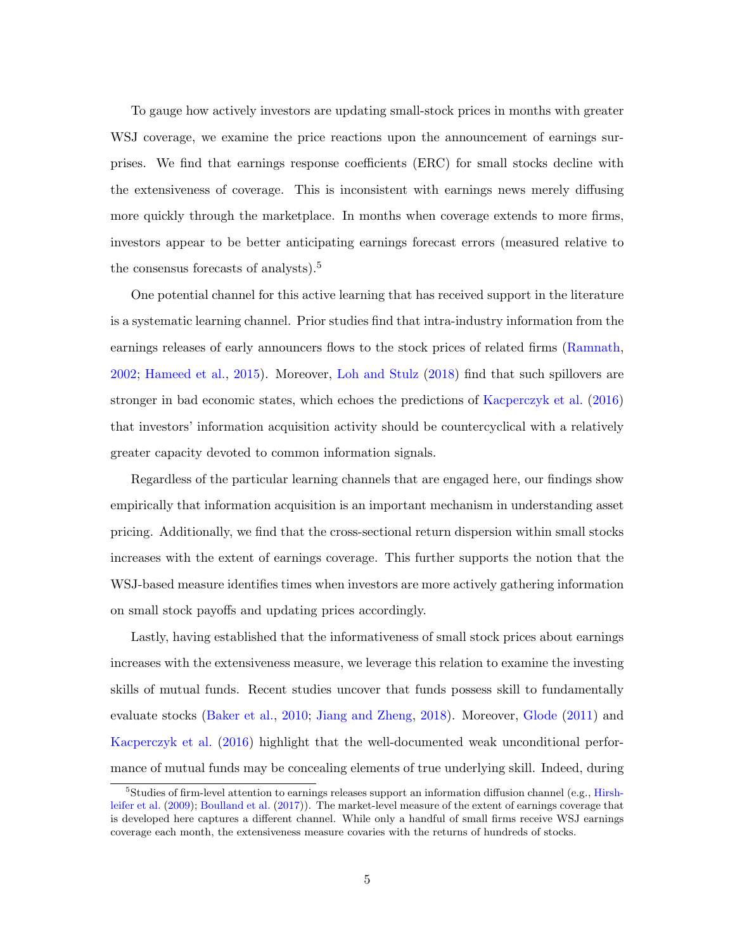<span id="page-5-0"></span>To gauge how actively investors are updating small-stock prices in months with greater WSJ coverage, we examine the price reactions upon the announcement of earnings surprises. We find that earnings response coefficients (ERC) for small stocks decline with the extensiveness of coverage. This is inconsistent with earnings news merely diffusing more quickly through the marketplace. In months when coverage extends to more firms, investors appear to be better anticipating earnings forecast errors (measured relative to the consensus forecasts of analysts). $5$ 

One potential channel for this active learning that has received support in the literature is a systematic learning channel. Prior studies find that intra-industry information from the earnings releases of early announcers flows to the stock prices of related firms [\(Ramnath,](#page-37-1) [2002;](#page-37-1) [Hameed et al.,](#page-36-1) [2015\)](#page-36-1). Moreover, [Loh and Stulz](#page-37-6) [\(2018\)](#page-37-6) find that such spillovers are stronger in bad economic states, which echoes the predictions of [Kacperczyk et al.](#page-36-0) [\(2016\)](#page-36-0) that investors' information acquisition activity should be countercyclical with a relatively greater capacity devoted to common information signals.

Regardless of the particular learning channels that are engaged here, our findings show empirically that information acquisition is an important mechanism in understanding asset pricing. Additionally, we find that the cross-sectional return dispersion within small stocks increases with the extent of earnings coverage. This further supports the notion that the WSJ-based measure identifies times when investors are more actively gathering information on small stock payoffs and updating prices accordingly.

Lastly, having established that the informativeness of small stock prices about earnings increases with the extensiveness measure, we leverage this relation to examine the investing skills of mutual funds. Recent studies uncover that funds possess skill to fundamentally evaluate stocks [\(Baker et al.,](#page-35-3) [2010;](#page-35-3) [Jiang and Zheng,](#page-36-5) [2018\)](#page-36-5). Moreover, [Glode](#page-36-6) [\(2011\)](#page-36-6) and [Kacperczyk et al.](#page-36-0) [\(2016\)](#page-36-0) highlight that the well-documented weak unconditional performance of mutual funds may be concealing elements of true underlying skill. Indeed, during

<sup>&</sup>lt;sup>5</sup>Studies of firm-level attention to earnings releases support an information diffusion channel (e.g., [Hirsh](#page-36-7)[leifer et al.](#page-36-7) [\(2009\)](#page-36-7); [Boulland et al.](#page-35-4) [\(2017\)](#page-35-4)). The market-level measure of the extent of earnings coverage that is developed here captures a different channel. While only a handful of small firms receive WSJ earnings coverage each month, the extensiveness measure covaries with the returns of hundreds of stocks.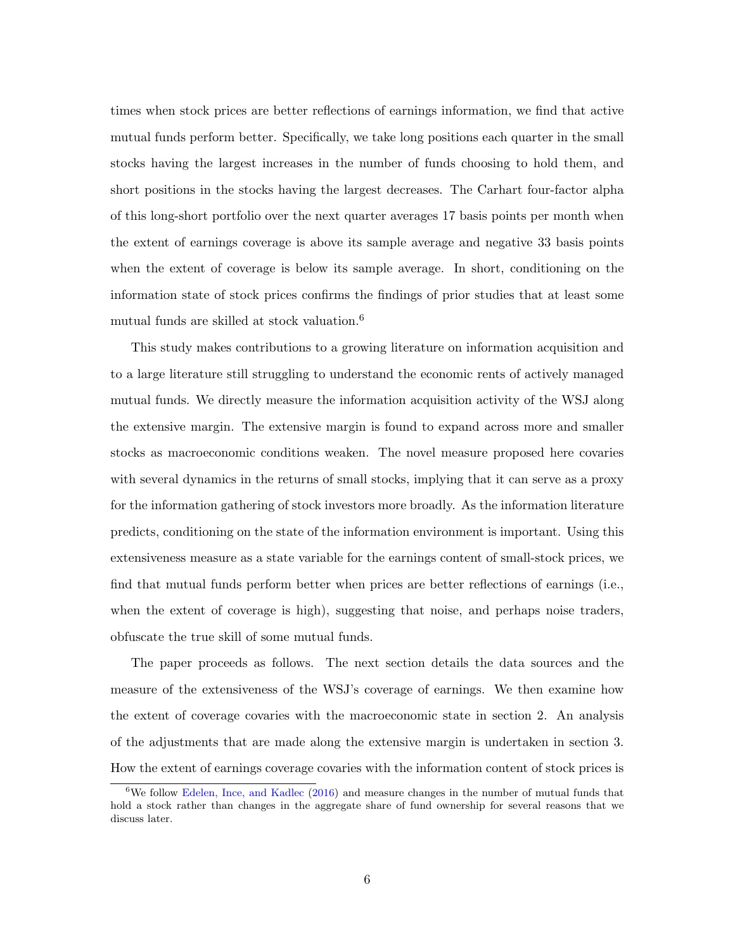<span id="page-6-0"></span>times when stock prices are better reflections of earnings information, we find that active mutual funds perform better. Specifically, we take long positions each quarter in the small stocks having the largest increases in the number of funds choosing to hold them, and short positions in the stocks having the largest decreases. The Carhart four-factor alpha of this long-short portfolio over the next quarter averages 17 basis points per month when the extent of earnings coverage is above its sample average and negative 33 basis points when the extent of coverage is below its sample average. In short, conditioning on the information state of stock prices confirms the findings of prior studies that at least some mutual funds are skilled at stock valuation.<sup>6</sup>

This study makes contributions to a growing literature on information acquisition and to a large literature still struggling to understand the economic rents of actively managed mutual funds. We directly measure the information acquisition activity of the WSJ along the extensive margin. The extensive margin is found to expand across more and smaller stocks as macroeconomic conditions weaken. The novel measure proposed here covaries with several dynamics in the returns of small stocks, implying that it can serve as a proxy for the information gathering of stock investors more broadly. As the information literature predicts, conditioning on the state of the information environment is important. Using this extensiveness measure as a state variable for the earnings content of small-stock prices, we find that mutual funds perform better when prices are better reflections of earnings (i.e., when the extent of coverage is high), suggesting that noise, and perhaps noise traders, obfuscate the true skill of some mutual funds.

The paper proceeds as follows. The next section details the data sources and the measure of the extensiveness of the WSJ's coverage of earnings. We then examine how the extent of coverage covaries with the macroeconomic state in section 2. An analysis of the adjustments that are made along the extensive margin is undertaken in section 3. How the extent of earnings coverage covaries with the information content of stock prices is

 $6\text{We follow Edelen, Ince, and Kadlec (2016) and measure changes in the number of mutual funds that}$  $6\text{We follow Edelen, Ince, and Kadlec (2016) and measure changes in the number of mutual funds that}$  $6\text{We follow Edelen, Ince, and Kadlec (2016) and measure changes in the number of mutual funds that}$  $6\text{We follow Edelen, Ince, and Kadlec (2016) and measure changes in the number of mutual funds that}$  $6\text{We follow Edelen, Ince, and Kadlec (2016) and measure changes in the number of mutual funds that}$ hold a stock rather than changes in the aggregate share of fund ownership for several reasons that we discuss later.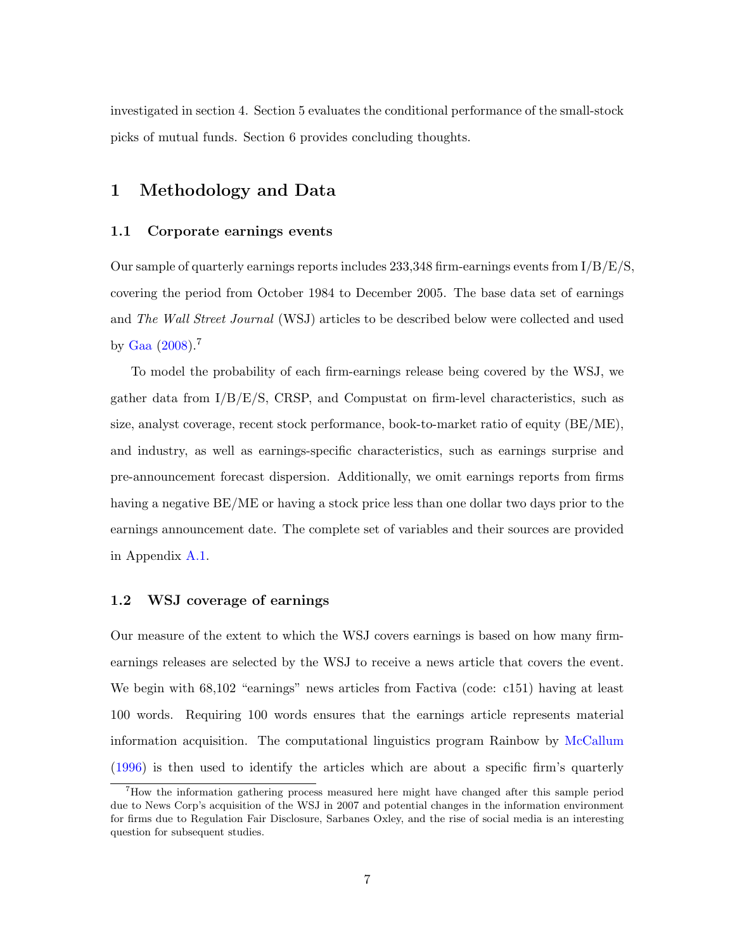<span id="page-7-1"></span>investigated in section 4. Section 5 evaluates the conditional performance of the small-stock picks of mutual funds. Section 6 provides concluding thoughts.

# 1 Methodology and Data

## 1.1 Corporate earnings events

Our sample of quarterly earnings reports includes  $233,348$  firm-earnings events from  $I/B/E/S$ , covering the period from October 1984 to December 2005. The base data set of earnings and The Wall Street Journal (WSJ) articles to be described below were collected and used by [Gaa](#page-36-9) [\(2008\)](#page-36-9).<sup>7</sup>

To model the probability of each firm-earnings release being covered by the WSJ, we gather data from  $I/B/E/S$ , CRSP, and Compustat on firm-level characteristics, such as size, analyst coverage, recent stock performance, book-to-market ratio of equity (BE/ME), and industry, as well as earnings-specific characteristics, such as earnings surprise and pre-announcement forecast dispersion. Additionally, we omit earnings reports from firms having a negative BE/ME or having a stock price less than one dollar two days prior to the earnings announcement date. The complete set of variables and their sources are provided in Appendix [A.1.](#page-30-0)

## <span id="page-7-0"></span>1.2 WSJ coverage of earnings

Our measure of the extent to which the WSJ covers earnings is based on how many firmearnings releases are selected by the WSJ to receive a news article that covers the event. We begin with 68,102 "earnings" news articles from Factiva (code: c151) having at least 100 words. Requiring 100 words ensures that the earnings article represents material information acquisition. The computational linguistics program Rainbow by [McCallum](#page-37-7) [\(1996\)](#page-37-7) is then used to identify the articles which are about a specific firm's quarterly

<sup>7</sup>How the information gathering process measured here might have changed after this sample period due to News Corp's acquisition of the WSJ in 2007 and potential changes in the information environment for firms due to Regulation Fair Disclosure, Sarbanes Oxley, and the rise of social media is an interesting question for subsequent studies.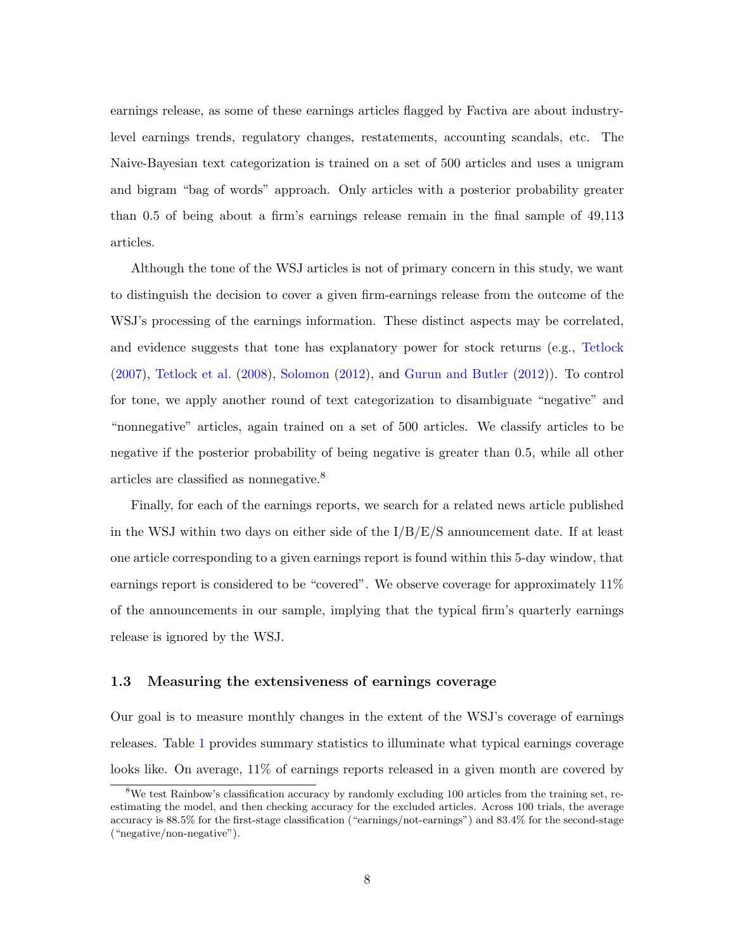<span id="page-8-0"></span>earnings release, as some of these earnings articles flagged by Factiva are about industrylevel earnings trends, regulatory changes, restatements, accounting scandals, etc. The Naive-Bayesian text categorization is trained on a set of 500 articles and uses a unigram and bigram "bag of words" approach. Only articles with a posterior probability greater than 0.5 of being about a firm's earnings release remain in the final sample of 49,113 articles.

Although the tone of the WSJ articles is not of primary concern in this study, we want to distinguish the decision to cover a given firm-earnings release from the outcome of the WSJ's processing of the earnings information. These distinct aspects may be correlated, and evidence suggests that tone has explanatory power for stock returns (e.g., [Tetlock](#page-38-0) [\(2007\)](#page-38-0), [Tetlock et al.](#page-38-1) [\(2008\)](#page-38-1), [Solomon](#page-37-4) [\(2012\)](#page-37-4), and [Gurun and Butler](#page-36-3) [\(2012\)](#page-36-3)). To control for tone, we apply another round of text categorization to disambiguate "negative" and "nonnegative" articles, again trained on a set of 500 articles. We classify articles to be negative if the posterior probability of being negative is greater than 0.5, while all other articles are classified as nonnegative.<sup>8</sup>

Finally, for each of the earnings reports, we search for a related news article published in the WSJ within two days on either side of the  $I/B/E/S$  announcement date. If at least one article corresponding to a given earnings report is found within this 5-day window, that earnings report is considered to be "covered". We observe coverage for approximately 11% of the announcements in our sample, implying that the typical firm's quarterly earnings release is ignored by the WSJ.

## <span id="page-8-1"></span>1.3 Measuring the extensiveness of earnings coverage

Our goal is to measure monthly changes in the extent of the WSJ's coverage of earnings releases. Table [1](#page-43-0) provides summary statistics to illuminate what typical earnings coverage looks like. On average,  $11\%$  of earnings reports released in a given month are covered by

<sup>8</sup>We test Rainbow's classification accuracy by randomly excluding 100 articles from the training set, reestimating the model, and then checking accuracy for the excluded articles. Across 100 trials, the average accuracy is 88.5% for the first-stage classification ("earnings/not-earnings") and 83.4% for the second-stage ("negative/non-negative").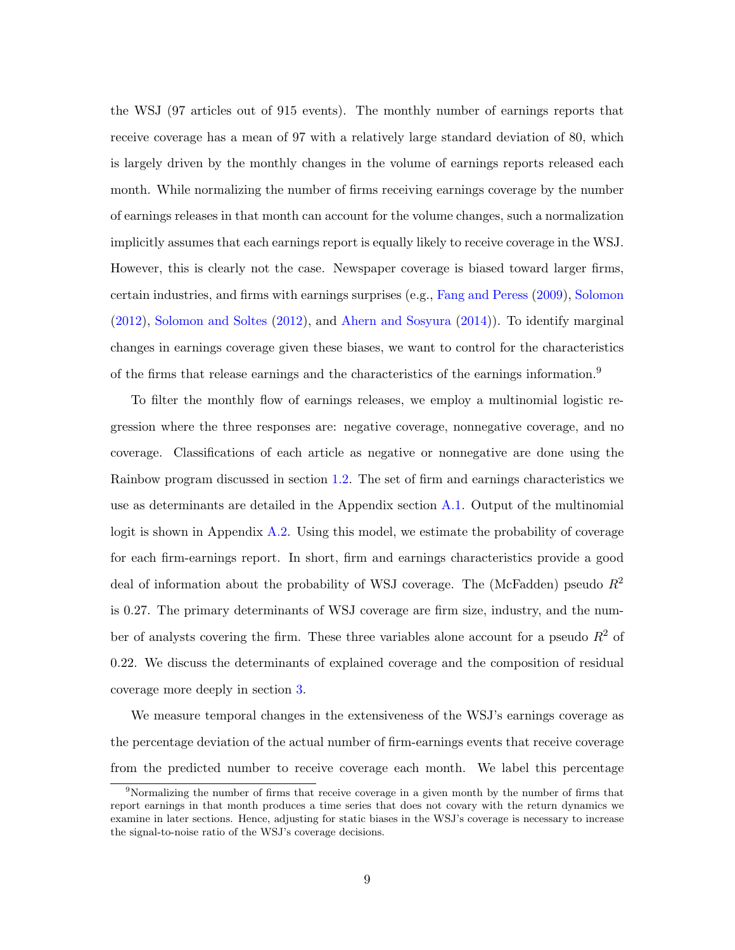<span id="page-9-0"></span>the WSJ (97 articles out of 915 events). The monthly number of earnings reports that receive coverage has a mean of 97 with a relatively large standard deviation of 80, which is largely driven by the monthly changes in the volume of earnings reports released each month. While normalizing the number of firms receiving earnings coverage by the number of earnings releases in that month can account for the volume changes, such a normalization implicitly assumes that each earnings report is equally likely to receive coverage in the WSJ. However, this is clearly not the case. Newspaper coverage is biased toward larger firms, certain industries, and firms with earnings surprises (e.g., [Fang and Peress](#page-36-2) [\(2009\)](#page-36-2), [Solomon](#page-37-4) [\(2012\)](#page-37-4), [Solomon and Soltes](#page-37-5) [\(2012\)](#page-37-5), and [Ahern and Sosyura](#page-35-2) [\(2014\)](#page-35-2)). To identify marginal changes in earnings coverage given these biases, we want to control for the characteristics of the firms that release earnings and the characteristics of the earnings information.<sup>9</sup>

To filter the monthly flow of earnings releases, we employ a multinomial logistic regression where the three responses are: negative coverage, nonnegative coverage, and no coverage. Classifications of each article as negative or nonnegative are done using the Rainbow program discussed in section [1.2.](#page-7-0) The set of firm and earnings characteristics we use as determinants are detailed in the Appendix section [A.1.](#page-30-0) Output of the multinomial logit is shown in Appendix [A.2.](#page-33-0) Using this model, we estimate the probability of coverage for each firm-earnings report. In short, firm and earnings characteristics provide a good deal of information about the probability of WSJ coverage. The (McFadden) pseudo  $R^2$ is 0.27. The primary determinants of WSJ coverage are firm size, industry, and the number of analysts covering the firm. These three variables alone account for a pseudo  $R^2$  of 0.22. We discuss the determinants of explained coverage and the composition of residual coverage more deeply in section [3.](#page-16-0)

We measure temporal changes in the extensiveness of the WSJ's earnings coverage as the percentage deviation of the actual number of firm-earnings events that receive coverage from the predicted number to receive coverage each month. We label this percentage

<sup>&</sup>lt;sup>9</sup>Normalizing the number of firms that receive coverage in a given month by the number of firms that report earnings in that month produces a time series that does not covary with the return dynamics we examine in later sections. Hence, adjusting for static biases in the WSJ's coverage is necessary to increase the signal-to-noise ratio of the WSJ's coverage decisions.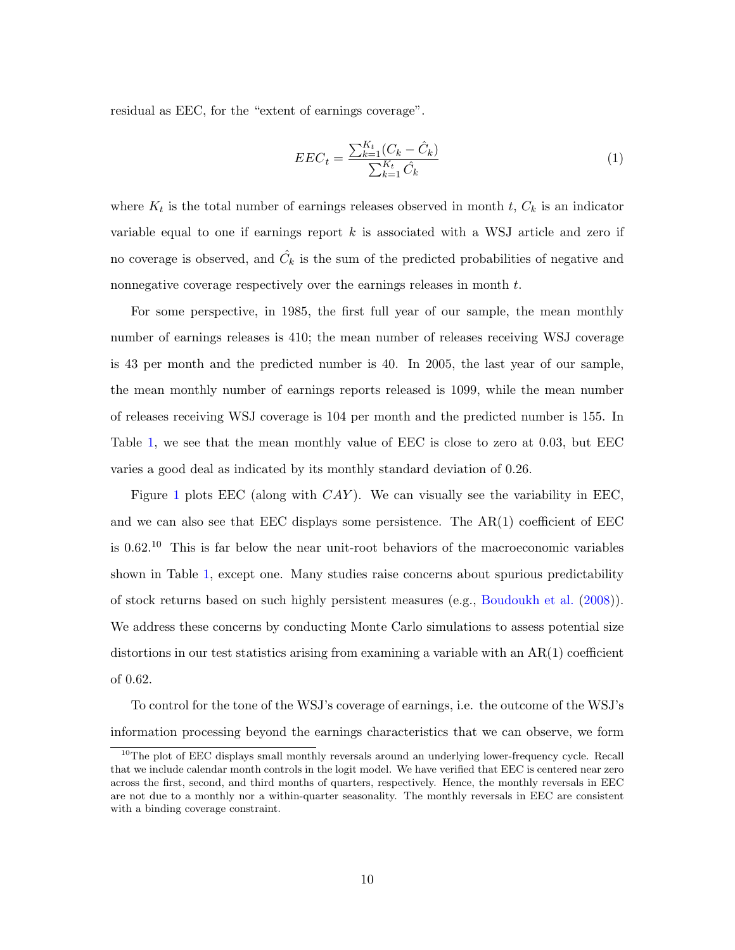<span id="page-10-0"></span>residual as EEC, for the "extent of earnings coverage".

<span id="page-10-1"></span>
$$
EEC_t = \frac{\sum_{k=1}^{K_t} (C_k - \hat{C}_k)}{\sum_{k=1}^{K_t} \hat{C}_k}
$$
\n(1)

where  $K_t$  is the total number of earnings releases observed in month t,  $C_k$  is an indicator variable equal to one if earnings report  $k$  is associated with a WSJ article and zero if no coverage is observed, and  $\hat{C}_k$  is the sum of the predicted probabilities of negative and nonnegative coverage respectively over the earnings releases in month t.

For some perspective, in 1985, the first full year of our sample, the mean monthly number of earnings releases is 410; the mean number of releases receiving WSJ coverage is 43 per month and the predicted number is 40. In 2005, the last year of our sample, the mean monthly number of earnings reports released is 1099, while the mean number of releases receiving WSJ coverage is 104 per month and the predicted number is 155. In Table [1,](#page-43-0) we see that the mean monthly value of EEC is close to zero at 0.03, but EEC varies a good deal as indicated by its monthly standard deviation of 0.26.

Figure [1](#page-39-0) plots EEC (along with  $CAY$ ). We can visually see the variability in EEC, and we can also see that EEC displays some persistence. The AR(1) coefficient of EEC is 0.62.<sup>10</sup> This is far below the near unit-root behaviors of the macroeconomic variables shown in Table [1,](#page-43-0) except one. Many studies raise concerns about spurious predictability of stock returns based on such highly persistent measures (e.g., [Boudoukh et al.](#page-35-5) [\(2008\)](#page-35-5)). We address these concerns by conducting Monte Carlo simulations to assess potential size distortions in our test statistics arising from examining a variable with an AR(1) coefficient of 0.62.

To control for the tone of the WSJ's coverage of earnings, i.e. the outcome of the WSJ's information processing beyond the earnings characteristics that we can observe, we form

<sup>&</sup>lt;sup>10</sup>The plot of EEC displays small monthly reversals around an underlying lower-frequency cycle. Recall that we include calendar month controls in the logit model. We have verified that EEC is centered near zero across the first, second, and third months of quarters, respectively. Hence, the monthly reversals in EEC are not due to a monthly nor a within-quarter seasonality. The monthly reversals in EEC are consistent with a binding coverage constraint.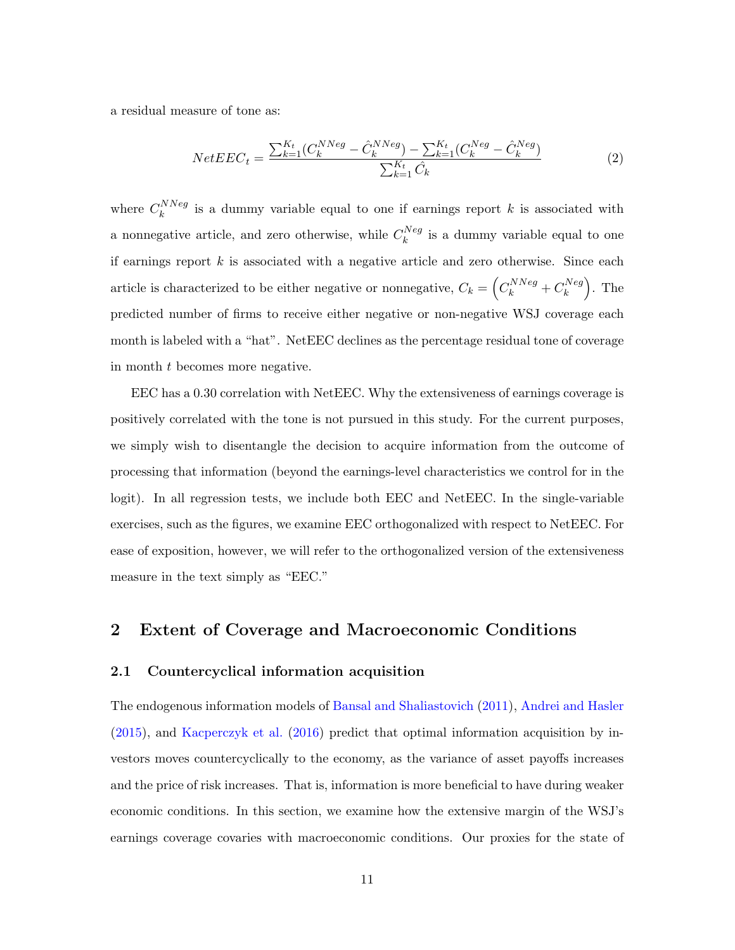<span id="page-11-1"></span>a residual measure of tone as:

<span id="page-11-2"></span>
$$
NetEEC_t = \frac{\sum_{k=1}^{K_t} (C_k^{NNeg} - \hat{C}_k^{NNeg}) - \sum_{k=1}^{K_t} (C_k^{Neg} - \hat{C}_k^{Neg})}{\sum_{k=1}^{K_t} \hat{C}_k}
$$
(2)

where  $C_k^{NNeg}$  $\kappa_k^{i \text{N} \text{N} \text{e} \text{g}}$  is a dummy variable equal to one if earnings report k is associated with a nonnegative article, and zero otherwise, while  $C_k^{Neg}$  $\binom{n \vee e g}{k}$  is a dummy variable equal to one if earnings report  $k$  is associated with a negative article and zero otherwise. Since each article is characterized to be either negative or nonnegative,  $C_k = \left(C_k^{NNeg} + C_k^{Neg}\right)$  $\binom{Neg}{k}$ . The predicted number of firms to receive either negative or non-negative WSJ coverage each month is labeled with a "hat". NetEEC declines as the percentage residual tone of coverage in month t becomes more negative.

EEC has a 0.30 correlation with NetEEC. Why the extensiveness of earnings coverage is positively correlated with the tone is not pursued in this study. For the current purposes, we simply wish to disentangle the decision to acquire information from the outcome of processing that information (beyond the earnings-level characteristics we control for in the logit). In all regression tests, we include both EEC and NetEEC. In the single-variable exercises, such as the figures, we examine EEC orthogonalized with respect to NetEEC. For ease of exposition, however, we will refer to the orthogonalized version of the extensiveness measure in the text simply as "EEC."

## 2 Extent of Coverage and Macroeconomic Conditions

#### <span id="page-11-0"></span>2.1 Countercyclical information acquisition

The endogenous information models of [Bansal and Shaliastovich](#page-35-0) [\(2011\)](#page-35-0), [Andrei and Hasler](#page-35-1) [\(2015\)](#page-35-1), and [Kacperczyk et al.](#page-36-0) [\(2016\)](#page-36-0) predict that optimal information acquisition by investors moves countercyclically to the economy, as the variance of asset payoffs increases and the price of risk increases. That is, information is more beneficial to have during weaker economic conditions. In this section, we examine how the extensive margin of the WSJ's earnings coverage covaries with macroeconomic conditions. Our proxies for the state of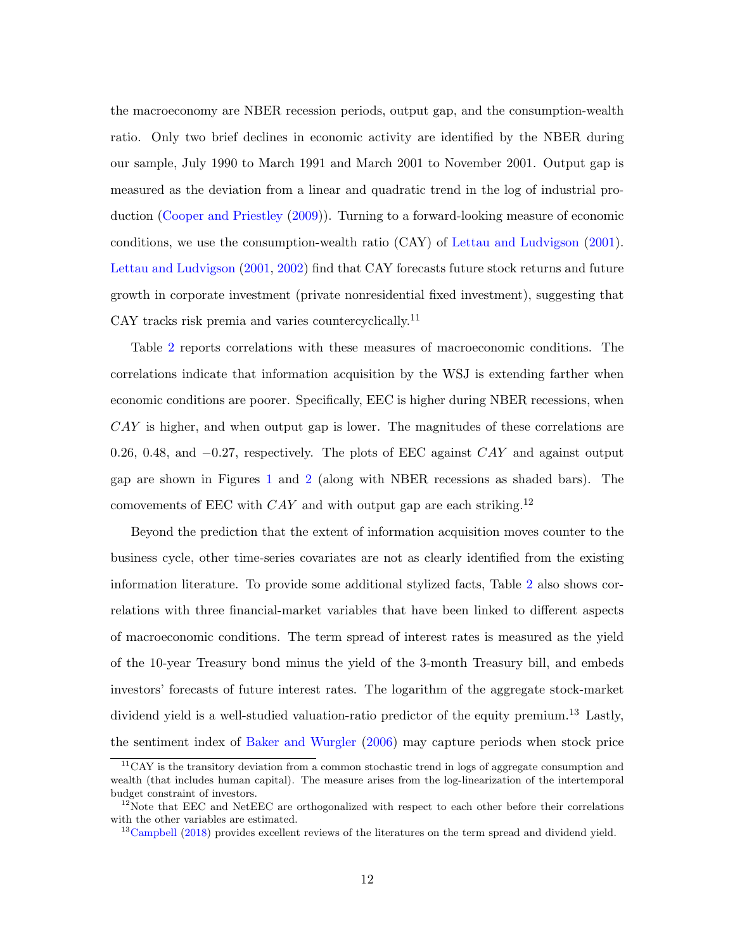<span id="page-12-0"></span>the macroeconomy are NBER recession periods, output gap, and the consumption-wealth ratio. Only two brief declines in economic activity are identified by the NBER during our sample, July 1990 to March 1991 and March 2001 to November 2001. Output gap is measured as the deviation from a linear and quadratic trend in the log of industrial production [\(Cooper and Priestley](#page-35-6) [\(2009\)](#page-35-6)). Turning to a forward-looking measure of economic conditions, we use the consumption-wealth ratio (CAY) of [Lettau and Ludvigson](#page-36-4) [\(2001\)](#page-36-4). [Lettau and Ludvigson](#page-36-4) [\(2001,](#page-36-4) [2002\)](#page-36-10) find that CAY forecasts future stock returns and future growth in corporate investment (private nonresidential fixed investment), suggesting that CAY tracks risk premia and varies countercyclically.<sup>11</sup>

Table [2](#page-44-0) reports correlations with these measures of macroeconomic conditions. The correlations indicate that information acquisition by the WSJ is extending farther when economic conditions are poorer. Specifically, EEC is higher during NBER recessions, when CAY is higher, and when output gap is lower. The magnitudes of these correlations are 0.26, 0.48, and −0.27, respectively. The plots of EEC against CAY and against output gap are shown in Figures [1](#page-39-0) and [2](#page-40-0) (along with NBER recessions as shaded bars). The comovements of EEC with  $CAY$  and with output gap are each striking.<sup>12</sup>

Beyond the prediction that the extent of information acquisition moves counter to the business cycle, other time-series covariates are not as clearly identified from the existing information literature. To provide some additional stylized facts, Table [2](#page-44-0) also shows correlations with three financial-market variables that have been linked to different aspects of macroeconomic conditions. The term spread of interest rates is measured as the yield of the 10-year Treasury bond minus the yield of the 3-month Treasury bill, and embeds investors' forecasts of future interest rates. The logarithm of the aggregate stock-market dividend yield is a well-studied valuation-ratio predictor of the equity premium.<sup>13</sup> Lastly, the sentiment index of [Baker and Wurgler](#page-35-7) [\(2006\)](#page-35-7) may capture periods when stock price

 $11$ CAY is the transitory deviation from a common stochastic trend in logs of aggregate consumption and wealth (that includes human capital). The measure arises from the log-linearization of the intertemporal budget constraint of investors.

 $12$ Note that EEC and NetEEC are orthogonalized with respect to each other before their correlations with the other variables are estimated.

<sup>&</sup>lt;sup>13</sup>[Campbell](#page-35-8) [\(2018\)](#page-35-8) provides excellent reviews of the literatures on the term spread and dividend yield.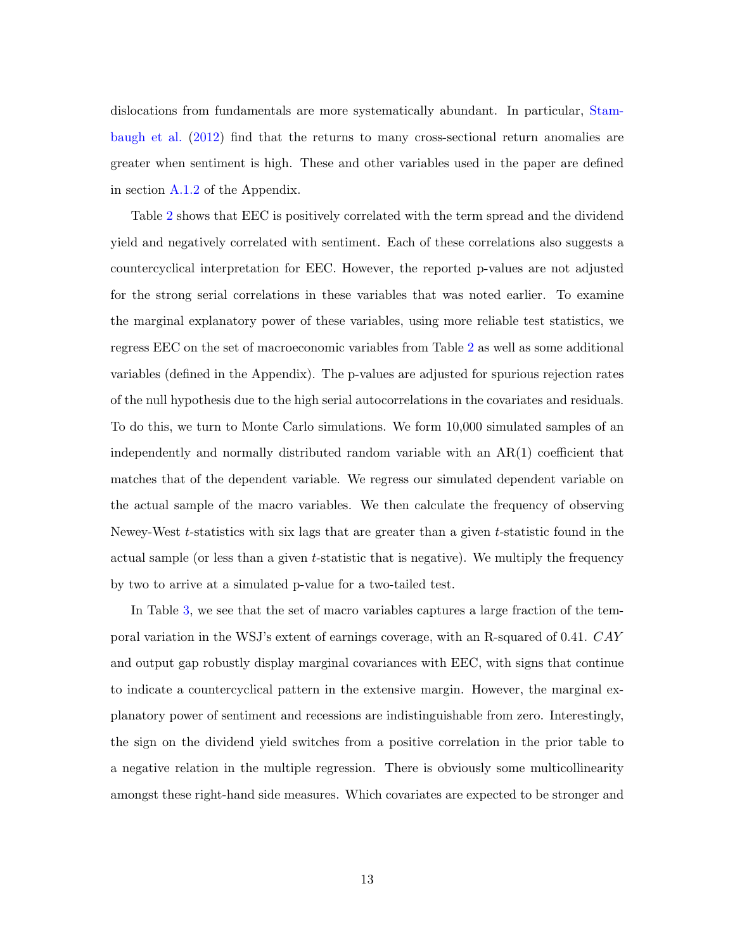<span id="page-13-0"></span>dislocations from fundamentals are more systematically abundant. In particular, [Stam](#page-37-8)[baugh et al.](#page-37-8) [\(2012\)](#page-37-8) find that the returns to many cross-sectional return anomalies are greater when sentiment is high. These and other variables used in the paper are defined in section [A.1.2](#page-31-0) of the Appendix.

Table [2](#page-44-0) shows that EEC is positively correlated with the term spread and the dividend yield and negatively correlated with sentiment. Each of these correlations also suggests a countercyclical interpretation for EEC. However, the reported p-values are not adjusted for the strong serial correlations in these variables that was noted earlier. To examine the marginal explanatory power of these variables, using more reliable test statistics, we regress EEC on the set of macroeconomic variables from Table [2](#page-44-0) as well as some additional variables (defined in the Appendix). The p-values are adjusted for spurious rejection rates of the null hypothesis due to the high serial autocorrelations in the covariates and residuals. To do this, we turn to Monte Carlo simulations. We form 10,000 simulated samples of an independently and normally distributed random variable with an AR(1) coefficient that matches that of the dependent variable. We regress our simulated dependent variable on the actual sample of the macro variables. We then calculate the frequency of observing Newey-West t-statistics with six lags that are greater than a given t-statistic found in the actual sample (or less than a given t-statistic that is negative). We multiply the frequency by two to arrive at a simulated p-value for a two-tailed test.

In Table [3,](#page-45-0) we see that the set of macro variables captures a large fraction of the temporal variation in the WSJ's extent of earnings coverage, with an R-squared of 0.41. CAY and output gap robustly display marginal covariances with EEC, with signs that continue to indicate a countercyclical pattern in the extensive margin. However, the marginal explanatory power of sentiment and recessions are indistinguishable from zero. Interestingly, the sign on the dividend yield switches from a positive correlation in the prior table to a negative relation in the multiple regression. There is obviously some multicollinearity amongst these right-hand side measures. Which covariates are expected to be stronger and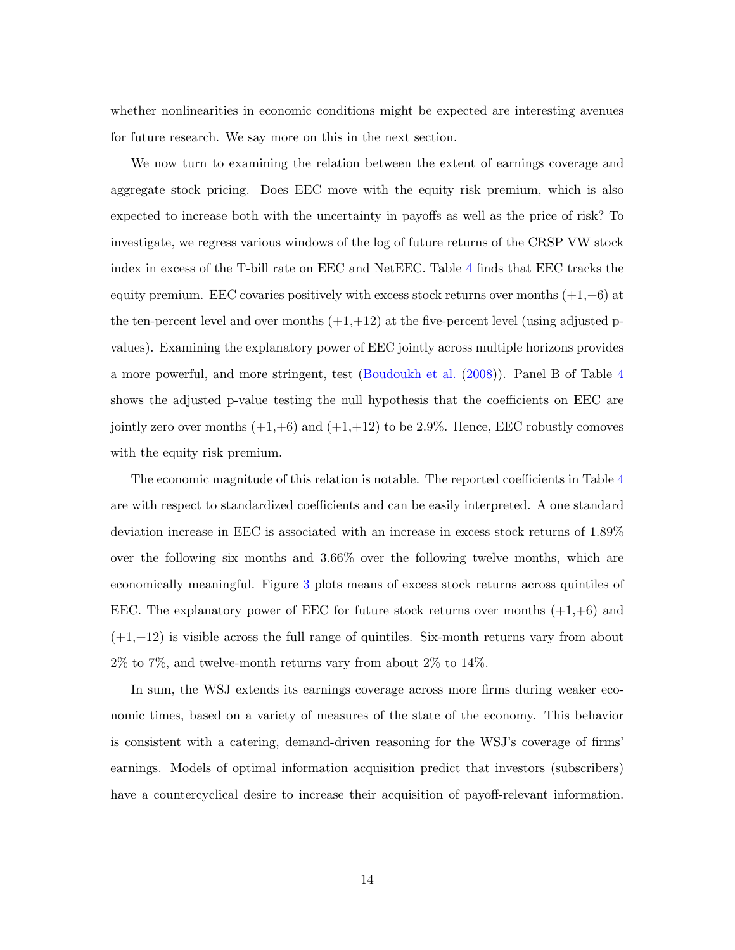<span id="page-14-0"></span>whether nonlinearities in economic conditions might be expected are interesting avenues for future research. We say more on this in the next section.

We now turn to examining the relation between the extent of earnings coverage and aggregate stock pricing. Does EEC move with the equity risk premium, which is also expected to increase both with the uncertainty in payoffs as well as the price of risk? To investigate, we regress various windows of the log of future returns of the CRSP VW stock index in excess of the T-bill rate on EEC and NetEEC. Table [4](#page-46-0) finds that EEC tracks the equity premium. EEC covaries positively with excess stock returns over months  $(+1, +6)$  at the ten-percent level and over months  $(+1,+12)$  at the five-percent level (using adjusted pvalues). Examining the explanatory power of EEC jointly across multiple horizons provides a more powerful, and more stringent, test [\(Boudoukh et al.](#page-35-5) [\(2008\)](#page-35-5)). Panel B of Table [4](#page-46-0) shows the adjusted p-value testing the null hypothesis that the coefficients on EEC are jointly zero over months  $(+1,+6)$  and  $(+1,+12)$  to be 2.9%. Hence, EEC robustly comoves with the equity risk premium.

The economic magnitude of this relation is notable. The reported coefficients in Table [4](#page-46-0) are with respect to standardized coefficients and can be easily interpreted. A one standard deviation increase in EEC is associated with an increase in excess stock returns of 1.89% over the following six months and 3.66% over the following twelve months, which are economically meaningful. Figure [3](#page-41-0) plots means of excess stock returns across quintiles of EEC. The explanatory power of EEC for future stock returns over months  $(+1, +6)$  and  $(+1,+12)$  is visible across the full range of quintiles. Six-month returns vary from about 2% to 7%, and twelve-month returns vary from about 2% to 14%.

In sum, the WSJ extends its earnings coverage across more firms during weaker economic times, based on a variety of measures of the state of the economy. This behavior is consistent with a catering, demand-driven reasoning for the WSJ's coverage of firms' earnings. Models of optimal information acquisition predict that investors (subscribers) have a countercyclical desire to increase their acquisition of payoff-relevant information.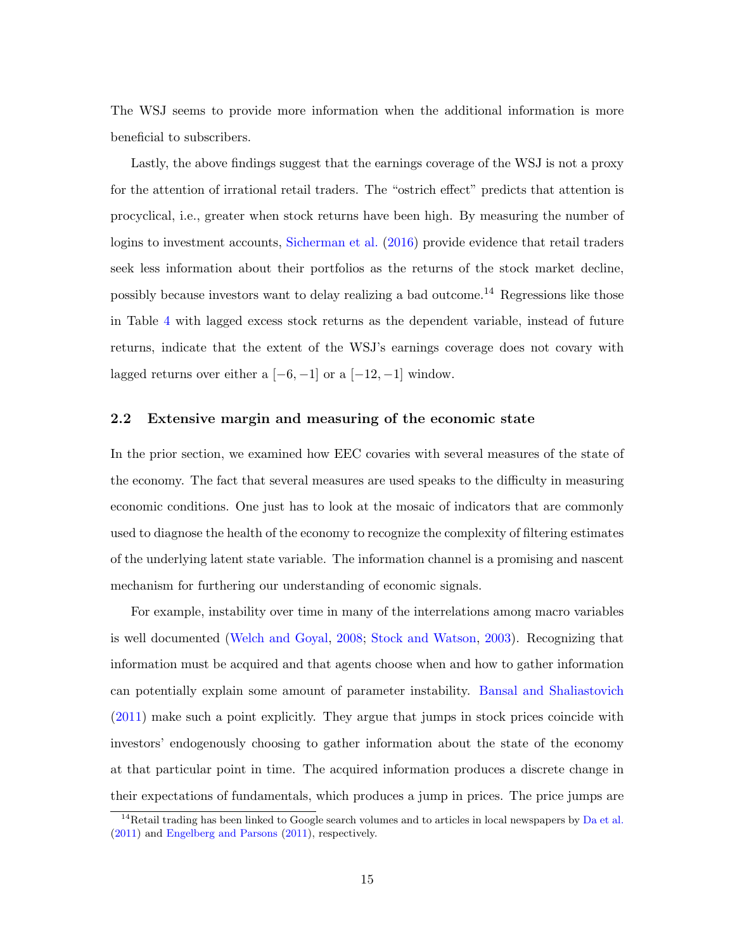<span id="page-15-0"></span>The WSJ seems to provide more information when the additional information is more beneficial to subscribers.

Lastly, the above findings suggest that the earnings coverage of the WSJ is not a proxy for the attention of irrational retail traders. The "ostrich effect" predicts that attention is procyclical, i.e., greater when stock returns have been high. By measuring the number of logins to investment accounts, [Sicherman et al.](#page-37-9) [\(2016\)](#page-37-9) provide evidence that retail traders seek less information about their portfolios as the returns of the stock market decline, possibly because investors want to delay realizing a bad outcome.<sup>14</sup> Regressions like those in Table [4](#page-46-0) with lagged excess stock returns as the dependent variable, instead of future returns, indicate that the extent of the WSJ's earnings coverage does not covary with lagged returns over either a  $[-6, -1]$  or a  $[-12, -1]$  window.

#### 2.2 Extensive margin and measuring of the economic state

In the prior section, we examined how EEC covaries with several measures of the state of the economy. The fact that several measures are used speaks to the difficulty in measuring economic conditions. One just has to look at the mosaic of indicators that are commonly used to diagnose the health of the economy to recognize the complexity of filtering estimates of the underlying latent state variable. The information channel is a promising and nascent mechanism for furthering our understanding of economic signals.

For example, instability over time in many of the interrelations among macro variables is well documented [\(Welch and Goyal,](#page-38-2) [2008;](#page-38-2) [Stock and Watson,](#page-37-10) [2003\)](#page-37-10). Recognizing that information must be acquired and that agents choose when and how to gather information can potentially explain some amount of parameter instability. [Bansal and Shaliastovich](#page-35-0) [\(2011\)](#page-35-0) make such a point explicitly. They argue that jumps in stock prices coincide with investors' endogenously choosing to gather information about the state of the economy at that particular point in time. The acquired information produces a discrete change in their expectations of fundamentals, which produces a jump in prices. The price jumps are

 $14$ Retail trading has been linked to Google search volumes and to articles in local newspapers by [Da et al.](#page-35-9) [\(2011\)](#page-35-9) and [Engelberg and Parsons](#page-36-11) [\(2011\)](#page-36-11), respectively.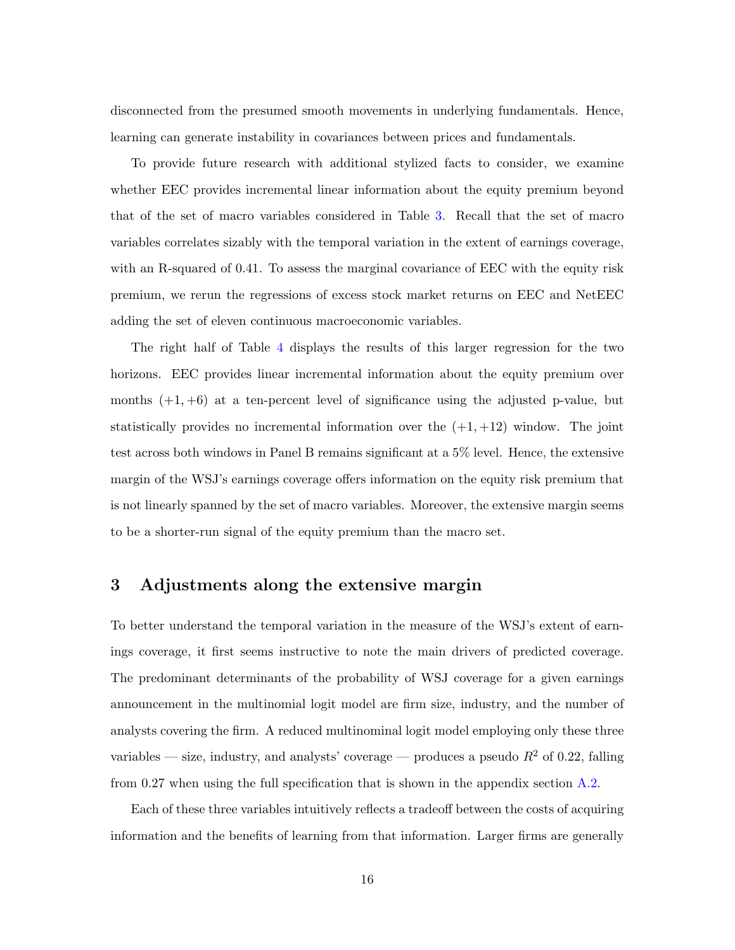disconnected from the presumed smooth movements in underlying fundamentals. Hence, learning can generate instability in covariances between prices and fundamentals.

To provide future research with additional stylized facts to consider, we examine whether EEC provides incremental linear information about the equity premium beyond that of the set of macro variables considered in Table [3.](#page-45-0) Recall that the set of macro variables correlates sizably with the temporal variation in the extent of earnings coverage, with an R-squared of 0.41. To assess the marginal covariance of EEC with the equity risk premium, we rerun the regressions of excess stock market returns on EEC and NetEEC adding the set of eleven continuous macroeconomic variables.

The right half of Table [4](#page-46-0) displays the results of this larger regression for the two horizons. EEC provides linear incremental information about the equity premium over months  $(+1, +6)$  at a ten-percent level of significance using the adjusted p-value, but statistically provides no incremental information over the  $(+1, +12)$  window. The joint test across both windows in Panel B remains significant at a 5% level. Hence, the extensive margin of the WSJ's earnings coverage offers information on the equity risk premium that is not linearly spanned by the set of macro variables. Moreover, the extensive margin seems to be a shorter-run signal of the equity premium than the macro set.

# <span id="page-16-0"></span>3 Adjustments along the extensive margin

To better understand the temporal variation in the measure of the WSJ's extent of earnings coverage, it first seems instructive to note the main drivers of predicted coverage. The predominant determinants of the probability of WSJ coverage for a given earnings announcement in the multinomial logit model are firm size, industry, and the number of analysts covering the firm. A reduced multinominal logit model employing only these three variables — size, industry, and analysts' coverage — produces a pseudo  $R^2$  of 0.22, falling from 0.27 when using the full specification that is shown in the appendix section [A.2.](#page-33-0)

Each of these three variables intuitively reflects a tradeoff between the costs of acquiring information and the benefits of learning from that information. Larger firms are generally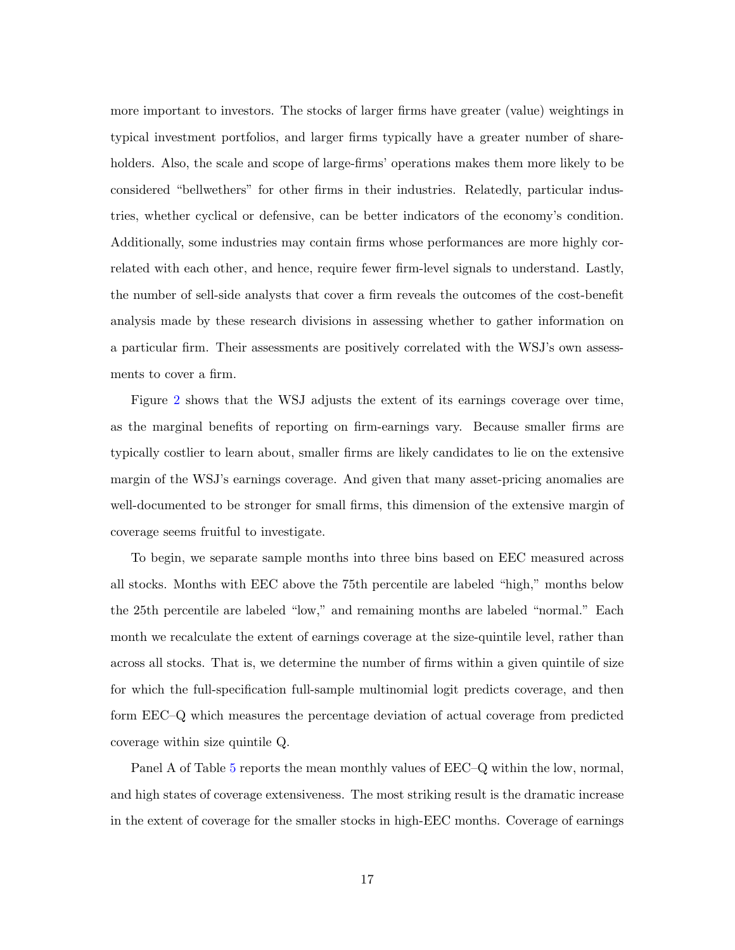more important to investors. The stocks of larger firms have greater (value) weightings in typical investment portfolios, and larger firms typically have a greater number of shareholders. Also, the scale and scope of large-firms' operations makes them more likely to be considered "bellwethers" for other firms in their industries. Relatedly, particular industries, whether cyclical or defensive, can be better indicators of the economy's condition. Additionally, some industries may contain firms whose performances are more highly correlated with each other, and hence, require fewer firm-level signals to understand. Lastly, the number of sell-side analysts that cover a firm reveals the outcomes of the cost-benefit analysis made by these research divisions in assessing whether to gather information on a particular firm. Their assessments are positively correlated with the WSJ's own assessments to cover a firm.

Figure [2](#page-40-0) shows that the WSJ adjusts the extent of its earnings coverage over time, as the marginal benefits of reporting on firm-earnings vary. Because smaller firms are typically costlier to learn about, smaller firms are likely candidates to lie on the extensive margin of the WSJ's earnings coverage. And given that many asset-pricing anomalies are well-documented to be stronger for small firms, this dimension of the extensive margin of coverage seems fruitful to investigate.

To begin, we separate sample months into three bins based on EEC measured across all stocks. Months with EEC above the 75th percentile are labeled "high," months below the 25th percentile are labeled "low," and remaining months are labeled "normal." Each month we recalculate the extent of earnings coverage at the size-quintile level, rather than across all stocks. That is, we determine the number of firms within a given quintile of size for which the full-specification full-sample multinomial logit predicts coverage, and then form EEC–Q which measures the percentage deviation of actual coverage from predicted coverage within size quintile Q.

Panel A of Table [5](#page-47-0) reports the mean monthly values of EEC–Q within the low, normal, and high states of coverage extensiveness. The most striking result is the dramatic increase in the extent of coverage for the smaller stocks in high-EEC months. Coverage of earnings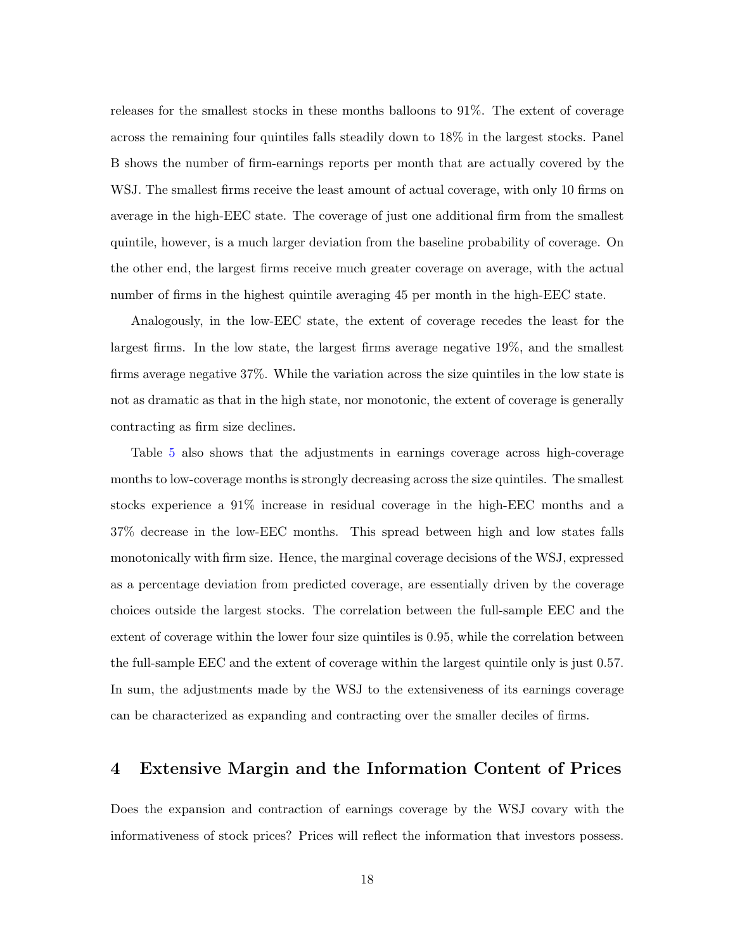releases for the smallest stocks in these months balloons to 91%. The extent of coverage across the remaining four quintiles falls steadily down to 18% in the largest stocks. Panel B shows the number of firm-earnings reports per month that are actually covered by the WSJ. The smallest firms receive the least amount of actual coverage, with only 10 firms on average in the high-EEC state. The coverage of just one additional firm from the smallest quintile, however, is a much larger deviation from the baseline probability of coverage. On the other end, the largest firms receive much greater coverage on average, with the actual number of firms in the highest quintile averaging 45 per month in the high-EEC state.

Analogously, in the low-EEC state, the extent of coverage recedes the least for the largest firms. In the low state, the largest firms average negative 19%, and the smallest firms average negative 37%. While the variation across the size quintiles in the low state is not as dramatic as that in the high state, nor monotonic, the extent of coverage is generally contracting as firm size declines.

Table [5](#page-47-0) also shows that the adjustments in earnings coverage across high-coverage months to low-coverage months is strongly decreasing across the size quintiles. The smallest stocks experience a 91% increase in residual coverage in the high-EEC months and a 37% decrease in the low-EEC months. This spread between high and low states falls monotonically with firm size. Hence, the marginal coverage decisions of the WSJ, expressed as a percentage deviation from predicted coverage, are essentially driven by the coverage choices outside the largest stocks. The correlation between the full-sample EEC and the extent of coverage within the lower four size quintiles is 0.95, while the correlation between the full-sample EEC and the extent of coverage within the largest quintile only is just 0.57. In sum, the adjustments made by the WSJ to the extensiveness of its earnings coverage can be characterized as expanding and contracting over the smaller deciles of firms.

## 4 Extensive Margin and the Information Content of Prices

Does the expansion and contraction of earnings coverage by the WSJ covary with the informativeness of stock prices? Prices will reflect the information that investors possess.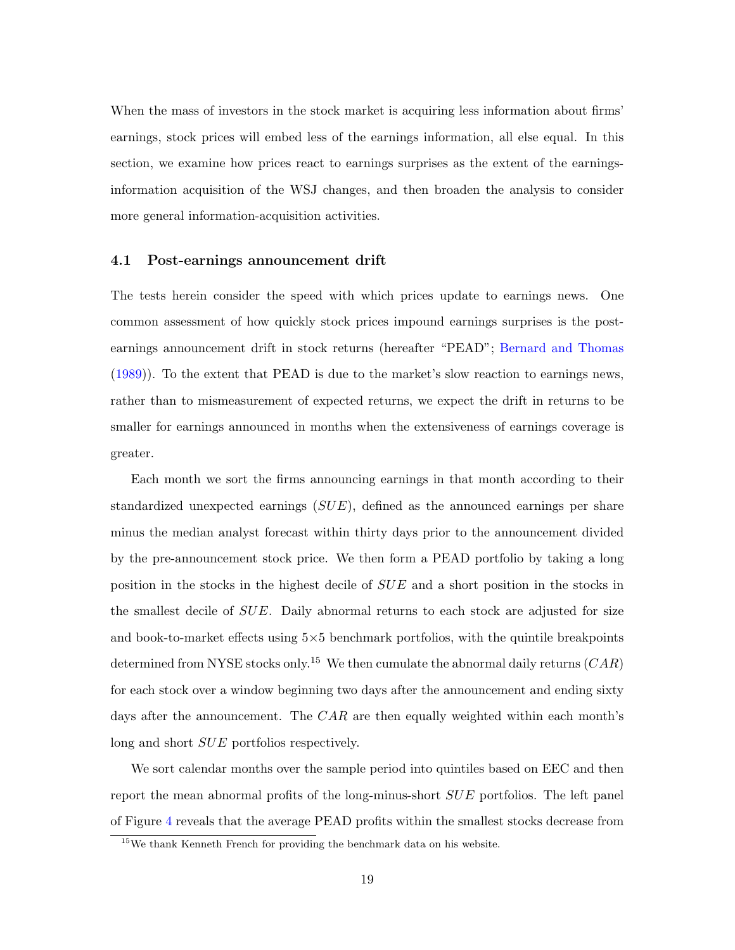<span id="page-19-1"></span>When the mass of investors in the stock market is acquiring less information about firms' earnings, stock prices will embed less of the earnings information, all else equal. In this section, we examine how prices react to earnings surprises as the extent of the earningsinformation acquisition of the WSJ changes, and then broaden the analysis to consider more general information-acquisition activities.

## <span id="page-19-0"></span>4.1 Post-earnings announcement drift

The tests herein consider the speed with which prices update to earnings news. One common assessment of how quickly stock prices impound earnings surprises is the postearnings announcement drift in stock returns (hereafter "PEAD"; [Bernard and Thomas](#page-35-10) [\(1989\)](#page-35-10)). To the extent that PEAD is due to the market's slow reaction to earnings news, rather than to mismeasurement of expected returns, we expect the drift in returns to be smaller for earnings announced in months when the extensiveness of earnings coverage is greater.

Each month we sort the firms announcing earnings in that month according to their standardized unexpected earnings  $(SUE)$ , defined as the announced earnings per share minus the median analyst forecast within thirty days prior to the announcement divided by the pre-announcement stock price. We then form a PEAD portfolio by taking a long position in the stocks in the highest decile of SUE and a short position in the stocks in the smallest decile of  $SUE$ . Daily abnormal returns to each stock are adjusted for size and book-to-market effects using  $5\times 5$  benchmark portfolios, with the quintile breakpoints determined from NYSE stocks only.<sup>15</sup> We then cumulate the abnormal daily returns  $(CAR)$ for each stock over a window beginning two days after the announcement and ending sixty days after the announcement. The  $CAR$  are then equally weighted within each month's long and short  $SUE$  portfolios respectively.

We sort calendar months over the sample period into quintiles based on EEC and then report the mean abnormal profits of the long-minus-short SUE portfolios. The left panel of Figure [4](#page-41-0) reveals that the average PEAD profits within the smallest stocks decrease from

<sup>15</sup>We thank Kenneth French for providing the benchmark data on his website.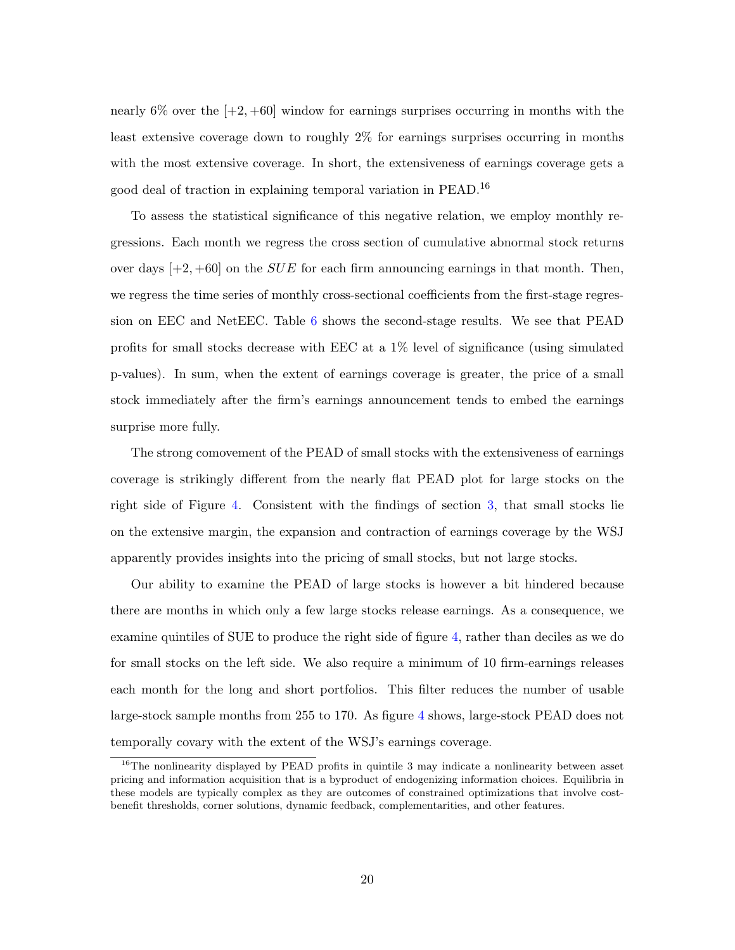nearly  $6\%$  over the  $[-2, +60]$  window for earnings surprises occurring in months with the least extensive coverage down to roughly 2% for earnings surprises occurring in months with the most extensive coverage. In short, the extensiveness of earnings coverage gets a good deal of traction in explaining temporal variation in PEAD.<sup>16</sup>

To assess the statistical significance of this negative relation, we employ monthly regressions. Each month we regress the cross section of cumulative abnormal stock returns over days  $[+2, +60]$  on the *SUE* for each firm announcing earnings in that month. Then, we regress the time series of monthly cross-sectional coefficients from the first-stage regression on EEC and NetEEC. Table [6](#page-48-0) shows the second-stage results. We see that PEAD profits for small stocks decrease with EEC at a 1% level of significance (using simulated p-values). In sum, when the extent of earnings coverage is greater, the price of a small stock immediately after the firm's earnings announcement tends to embed the earnings surprise more fully.

The strong comovement of the PEAD of small stocks with the extensiveness of earnings coverage is strikingly different from the nearly flat PEAD plot for large stocks on the right side of Figure [4.](#page-41-0) Consistent with the findings of section [3,](#page-16-0) that small stocks lie on the extensive margin, the expansion and contraction of earnings coverage by the WSJ apparently provides insights into the pricing of small stocks, but not large stocks.

Our ability to examine the PEAD of large stocks is however a bit hindered because there are months in which only a few large stocks release earnings. As a consequence, we examine quintiles of SUE to produce the right side of figure [4,](#page-41-0) rather than deciles as we do for small stocks on the left side. We also require a minimum of 10 firm-earnings releases each month for the long and short portfolios. This filter reduces the number of usable large-stock sample months from 255 to 170. As figure [4](#page-41-0) shows, large-stock PEAD does not temporally covary with the extent of the WSJ's earnings coverage.

<sup>&</sup>lt;sup>16</sup>The nonlinearity displayed by PEAD profits in quintile 3 may indicate a nonlinearity between asset pricing and information acquisition that is a byproduct of endogenizing information choices. Equilibria in these models are typically complex as they are outcomes of constrained optimizations that involve costbenefit thresholds, corner solutions, dynamic feedback, complementarities, and other features.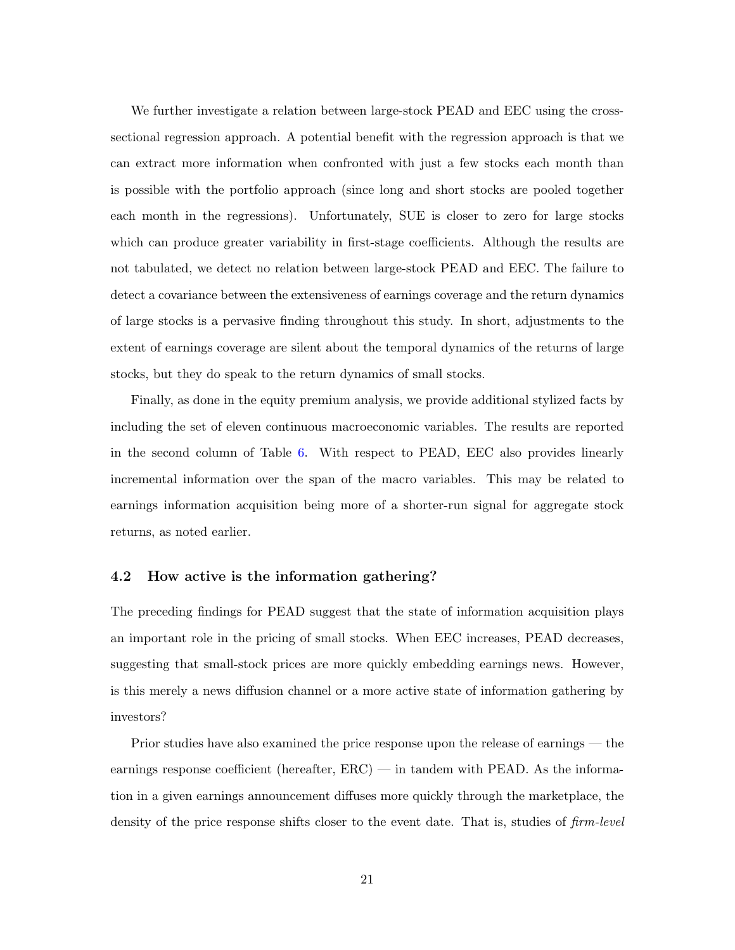We further investigate a relation between large-stock PEAD and EEC using the crosssectional regression approach. A potential benefit with the regression approach is that we can extract more information when confronted with just a few stocks each month than is possible with the portfolio approach (since long and short stocks are pooled together each month in the regressions). Unfortunately, SUE is closer to zero for large stocks which can produce greater variability in first-stage coefficients. Although the results are not tabulated, we detect no relation between large-stock PEAD and EEC. The failure to detect a covariance between the extensiveness of earnings coverage and the return dynamics of large stocks is a pervasive finding throughout this study. In short, adjustments to the extent of earnings coverage are silent about the temporal dynamics of the returns of large stocks, but they do speak to the return dynamics of small stocks.

Finally, as done in the equity premium analysis, we provide additional stylized facts by including the set of eleven continuous macroeconomic variables. The results are reported in the second column of Table [6.](#page-48-0) With respect to PEAD, EEC also provides linearly incremental information over the span of the macro variables. This may be related to earnings information acquisition being more of a shorter-run signal for aggregate stock returns, as noted earlier.

## 4.2 How active is the information gathering?

The preceding findings for PEAD suggest that the state of information acquisition plays an important role in the pricing of small stocks. When EEC increases, PEAD decreases, suggesting that small-stock prices are more quickly embedding earnings news. However, is this merely a news diffusion channel or a more active state of information gathering by investors?

Prior studies have also examined the price response upon the release of earnings — the earnings response coefficient (hereafter, ERC) — in tandem with PEAD. As the information in a given earnings announcement diffuses more quickly through the marketplace, the density of the price response shifts closer to the event date. That is, studies of  $\lim$ -level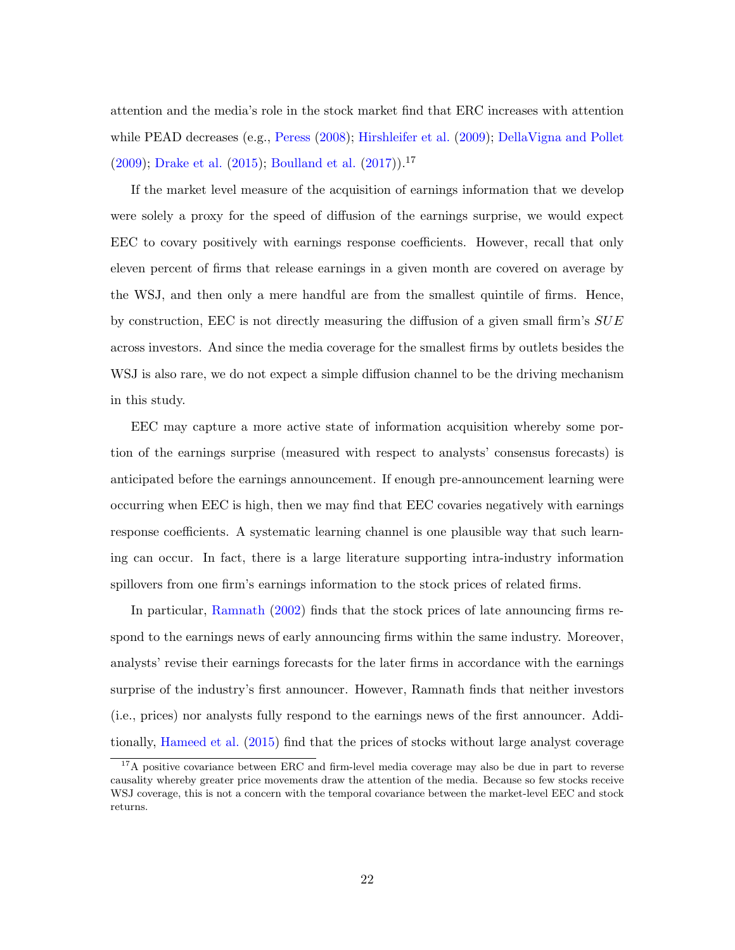<span id="page-22-0"></span>attention and the media's role in the stock market find that ERC increases with attention while PEAD decreases (e.g., [Peress](#page-37-11) [\(2008\)](#page-37-11); [Hirshleifer et al.](#page-36-7) [\(2009\)](#page-36-7); [DellaVigna and Pollet](#page-36-12)  $(2009)$ ; [Drake et al.](#page-36-13)  $(2015)$ ; [Boulland et al.](#page-35-4)  $(2017)$ .<sup>17</sup>

If the market level measure of the acquisition of earnings information that we develop were solely a proxy for the speed of diffusion of the earnings surprise, we would expect EEC to covary positively with earnings response coefficients. However, recall that only eleven percent of firms that release earnings in a given month are covered on average by the WSJ, and then only a mere handful are from the smallest quintile of firms. Hence, by construction, EEC is not directly measuring the diffusion of a given small firm's  $SUE$ across investors. And since the media coverage for the smallest firms by outlets besides the WSJ is also rare, we do not expect a simple diffusion channel to be the driving mechanism in this study.

EEC may capture a more active state of information acquisition whereby some portion of the earnings surprise (measured with respect to analysts' consensus forecasts) is anticipated before the earnings announcement. If enough pre-announcement learning were occurring when EEC is high, then we may find that EEC covaries negatively with earnings response coefficients. A systematic learning channel is one plausible way that such learning can occur. In fact, there is a large literature supporting intra-industry information spillovers from one firm's earnings information to the stock prices of related firms.

In particular, [Ramnath](#page-37-1) [\(2002\)](#page-37-1) finds that the stock prices of late announcing firms respond to the earnings news of early announcing firms within the same industry. Moreover, analysts' revise their earnings forecasts for the later firms in accordance with the earnings surprise of the industry's first announcer. However, Ramnath finds that neither investors (i.e., prices) nor analysts fully respond to the earnings news of the first announcer. Additionally, [Hameed et al.](#page-36-1) [\(2015\)](#page-36-1) find that the prices of stocks without large analyst coverage

<sup>&</sup>lt;sup>17</sup>A positive covariance between ERC and firm-level media coverage may also be due in part to reverse causality whereby greater price movements draw the attention of the media. Because so few stocks receive WSJ coverage, this is not a concern with the temporal covariance between the market-level EEC and stock returns.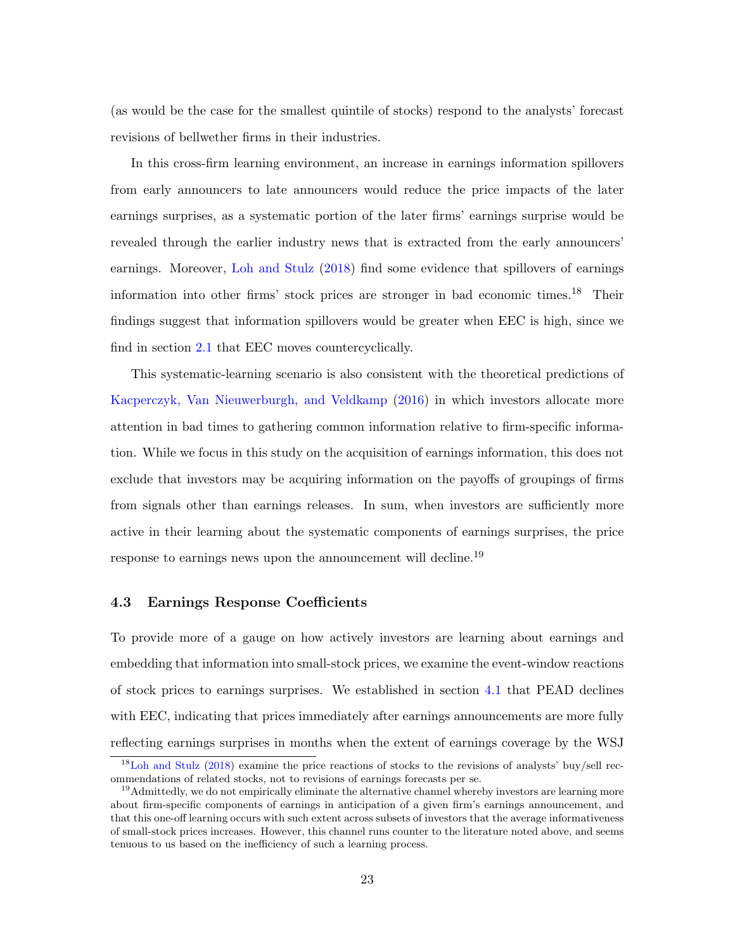<span id="page-23-0"></span>(as would be the case for the smallest quintile of stocks) respond to the analysts' forecast revisions of bellwether firms in their industries.

In this cross-firm learning environment, an increase in earnings information spillovers from early announcers to late announcers would reduce the price impacts of the later earnings surprises, as a systematic portion of the later firms' earnings surprise would be revealed through the earlier industry news that is extracted from the early announcers' earnings. Moreover, [Loh and Stulz](#page-37-6) [\(2018\)](#page-37-6) find some evidence that spillovers of earnings information into other firms' stock prices are stronger in bad economic times.<sup>18</sup> Their findings suggest that information spillovers would be greater when EEC is high, since we find in section [2.1](#page-11-0) that EEC moves countercyclically.

This systematic-learning scenario is also consistent with the theoretical predictions of [Kacperczyk, Van Nieuwerburgh, and Veldkamp](#page-36-0) [\(2016\)](#page-36-0) in which investors allocate more attention in bad times to gathering common information relative to firm-specific information. While we focus in this study on the acquisition of earnings information, this does not exclude that investors may be acquiring information on the payoffs of groupings of firms from signals other than earnings releases. In sum, when investors are sufficiently more active in their learning about the systematic components of earnings surprises, the price response to earnings news upon the announcement will decline.<sup>19</sup>

## 4.3 Earnings Response Coefficients

To provide more of a gauge on how actively investors are learning about earnings and embedding that information into small-stock prices, we examine the event-window reactions of stock prices to earnings surprises. We established in section [4.1](#page-19-0) that PEAD declines with EEC, indicating that prices immediately after earnings announcements are more fully reflecting earnings surprises in months when the extent of earnings coverage by the WSJ

<sup>18</sup>[Loh and Stulz](#page-37-6) [\(2018\)](#page-37-6) examine the price reactions of stocks to the revisions of analysts' buy/sell recommendations of related stocks, not to revisions of earnings forecasts per se.

<sup>&</sup>lt;sup>19</sup> Admittedly, we do not empirically eliminate the alternative channel whereby investors are learning more about firm-specific components of earnings in anticipation of a given firm's earnings announcement, and that this one-off learning occurs with such extent across subsets of investors that the average informativeness of small-stock prices increases. However, this channel runs counter to the literature noted above, and seems tenuous to us based on the inefficiency of such a learning process.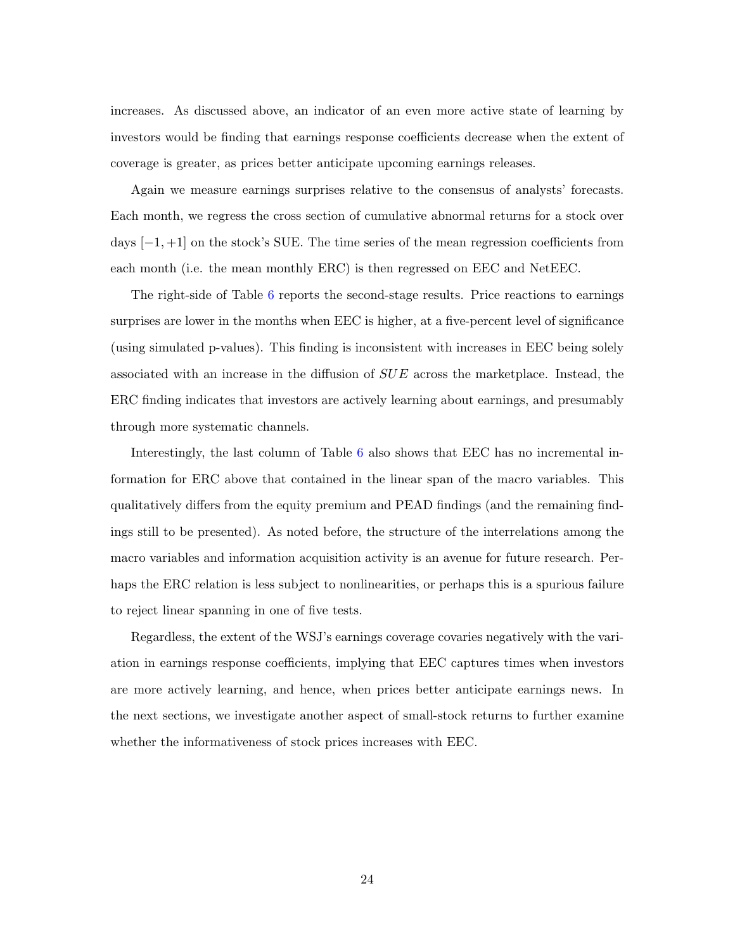increases. As discussed above, an indicator of an even more active state of learning by investors would be finding that earnings response coefficients decrease when the extent of coverage is greater, as prices better anticipate upcoming earnings releases.

Again we measure earnings surprises relative to the consensus of analysts' forecasts. Each month, we regress the cross section of cumulative abnormal returns for a stock over days  $[-1, +1]$  on the stock's SUE. The time series of the mean regression coefficients from each month (i.e. the mean monthly ERC) is then regressed on EEC and NetEEC.

The right-side of Table [6](#page-48-0) reports the second-stage results. Price reactions to earnings surprises are lower in the months when EEC is higher, at a five-percent level of significance (using simulated p-values). This finding is inconsistent with increases in EEC being solely associated with an increase in the diffusion of SUE across the marketplace. Instead, the ERC finding indicates that investors are actively learning about earnings, and presumably through more systematic channels.

Interestingly, the last column of Table [6](#page-48-0) also shows that EEC has no incremental information for ERC above that contained in the linear span of the macro variables. This qualitatively differs from the equity premium and PEAD findings (and the remaining findings still to be presented). As noted before, the structure of the interrelations among the macro variables and information acquisition activity is an avenue for future research. Perhaps the ERC relation is less subject to nonlinearities, or perhaps this is a spurious failure to reject linear spanning in one of five tests.

Regardless, the extent of the WSJ's earnings coverage covaries negatively with the variation in earnings response coefficients, implying that EEC captures times when investors are more actively learning, and hence, when prices better anticipate earnings news. In the next sections, we investigate another aspect of small-stock returns to further examine whether the informativeness of stock prices increases with EEC.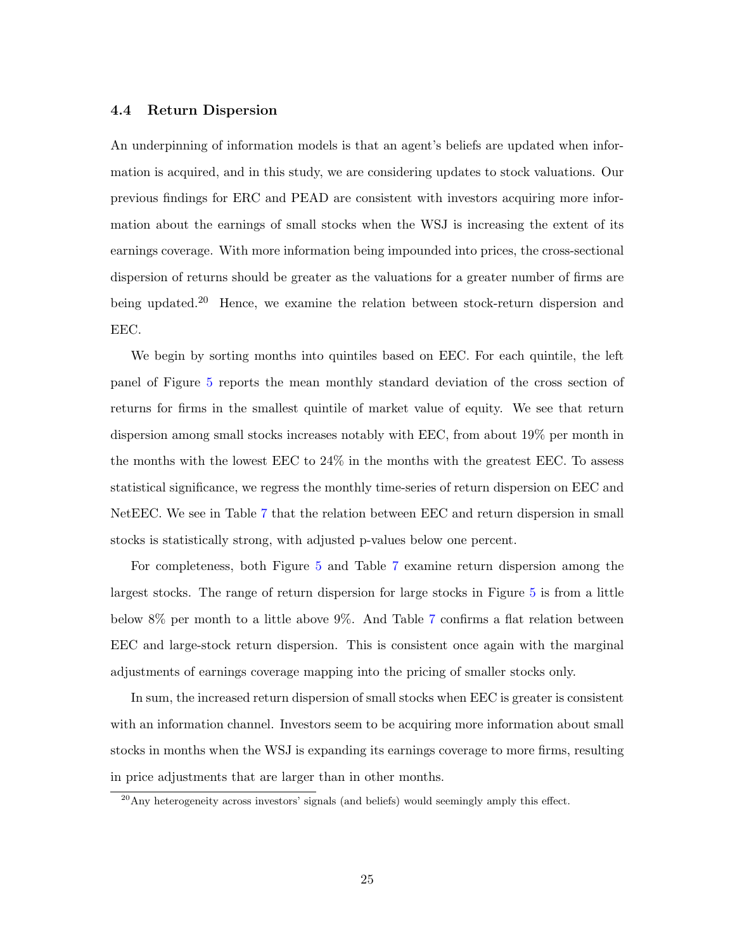## 4.4 Return Dispersion

An underpinning of information models is that an agent's beliefs are updated when information is acquired, and in this study, we are considering updates to stock valuations. Our previous findings for ERC and PEAD are consistent with investors acquiring more information about the earnings of small stocks when the WSJ is increasing the extent of its earnings coverage. With more information being impounded into prices, the cross-sectional dispersion of returns should be greater as the valuations for a greater number of firms are being updated.<sup>20</sup> Hence, we examine the relation between stock-return dispersion and EEC.

We begin by sorting months into quintiles based on EEC. For each quintile, the left panel of Figure [5](#page-42-0) reports the mean monthly standard deviation of the cross section of returns for firms in the smallest quintile of market value of equity. We see that return dispersion among small stocks increases notably with EEC, from about 19% per month in the months with the lowest EEC to 24% in the months with the greatest EEC. To assess statistical significance, we regress the monthly time-series of return dispersion on EEC and NetEEC. We see in Table [7](#page-49-0) that the relation between EEC and return dispersion in small stocks is statistically strong, with adjusted p-values below one percent.

For completeness, both Figure [5](#page-42-0) and Table [7](#page-49-0) examine return dispersion among the largest stocks. The range of return dispersion for large stocks in Figure [5](#page-42-0) is from a little below 8% per month to a little above 9%. And Table [7](#page-49-0) confirms a flat relation between EEC and large-stock return dispersion. This is consistent once again with the marginal adjustments of earnings coverage mapping into the pricing of smaller stocks only.

In sum, the increased return dispersion of small stocks when EEC is greater is consistent with an information channel. Investors seem to be acquiring more information about small stocks in months when the WSJ is expanding its earnings coverage to more firms, resulting in price adjustments that are larger than in other months.

 $^{20}$ Any heterogeneity across investors' signals (and beliefs) would seemingly amply this effect.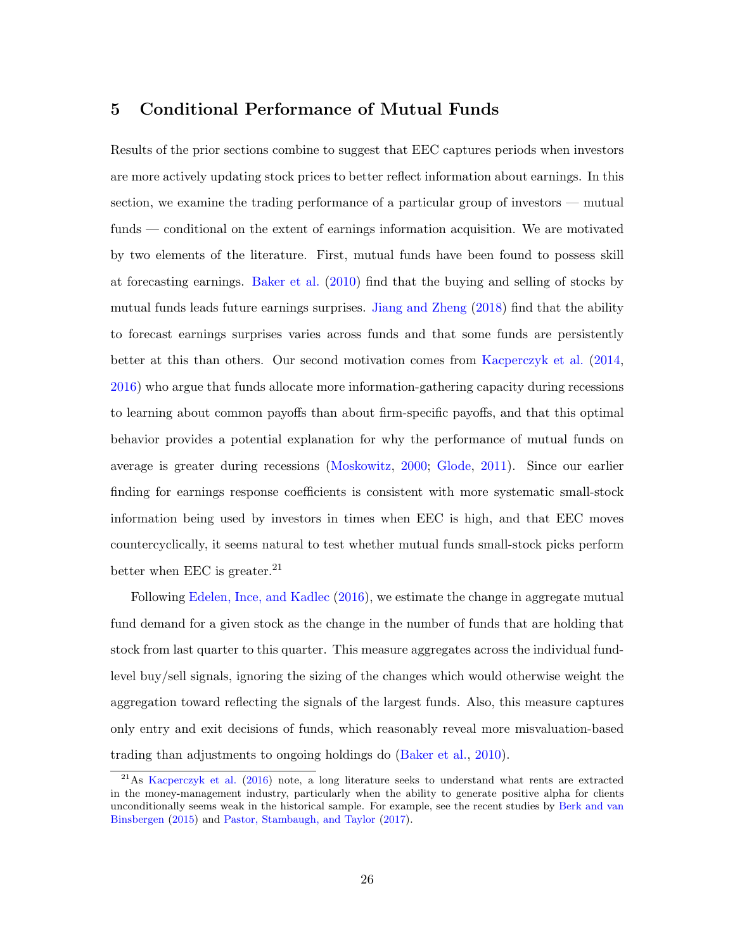## <span id="page-26-0"></span>5 Conditional Performance of Mutual Funds

Results of the prior sections combine to suggest that EEC captures periods when investors are more actively updating stock prices to better reflect information about earnings. In this section, we examine the trading performance of a particular group of investors — mutual funds — conditional on the extent of earnings information acquisition. We are motivated by two elements of the literature. First, mutual funds have been found to possess skill at forecasting earnings. [Baker et al.](#page-35-3) [\(2010\)](#page-35-3) find that the buying and selling of stocks by mutual funds leads future earnings surprises. [Jiang and Zheng](#page-36-5) [\(2018\)](#page-36-5) find that the ability to forecast earnings surprises varies across funds and that some funds are persistently better at this than others. Our second motivation comes from [Kacperczyk et al.](#page-36-14) [\(2014,](#page-36-14) [2016\)](#page-36-0) who argue that funds allocate more information-gathering capacity during recessions to learning about common payoffs than about firm-specific payoffs, and that this optimal behavior provides a potential explanation for why the performance of mutual funds on average is greater during recessions [\(Moskowitz,](#page-37-12) [2000;](#page-37-12) [Glode,](#page-36-6) [2011\)](#page-36-6). Since our earlier finding for earnings response coefficients is consistent with more systematic small-stock information being used by investors in times when EEC is high, and that EEC moves countercyclically, it seems natural to test whether mutual funds small-stock picks perform better when EEC is greater.<sup>21</sup>

Following [Edelen, Ince, and Kadlec](#page-36-8) [\(2016\)](#page-36-8), we estimate the change in aggregate mutual fund demand for a given stock as the change in the number of funds that are holding that stock from last quarter to this quarter. This measure aggregates across the individual fundlevel buy/sell signals, ignoring the sizing of the changes which would otherwise weight the aggregation toward reflecting the signals of the largest funds. Also, this measure captures only entry and exit decisions of funds, which reasonably reveal more misvaluation-based trading than adjustments to ongoing holdings do [\(Baker et al.,](#page-35-3) [2010\)](#page-35-3).

<sup>&</sup>lt;sup>21</sup>As [Kacperczyk et al.](#page-36-0) [\(2016\)](#page-36-0) note, a long literature seeks to understand what rents are extracted in the money-management industry, particularly when the ability to generate positive alpha for clients unconditionally seems weak in the historical sample. For example, see the recent studies by [Berk and van](#page-35-11) [Binsbergen](#page-35-11) [\(2015\)](#page-35-11) and [Pastor, Stambaugh, and Taylor](#page-37-13) [\(2017\)](#page-37-13).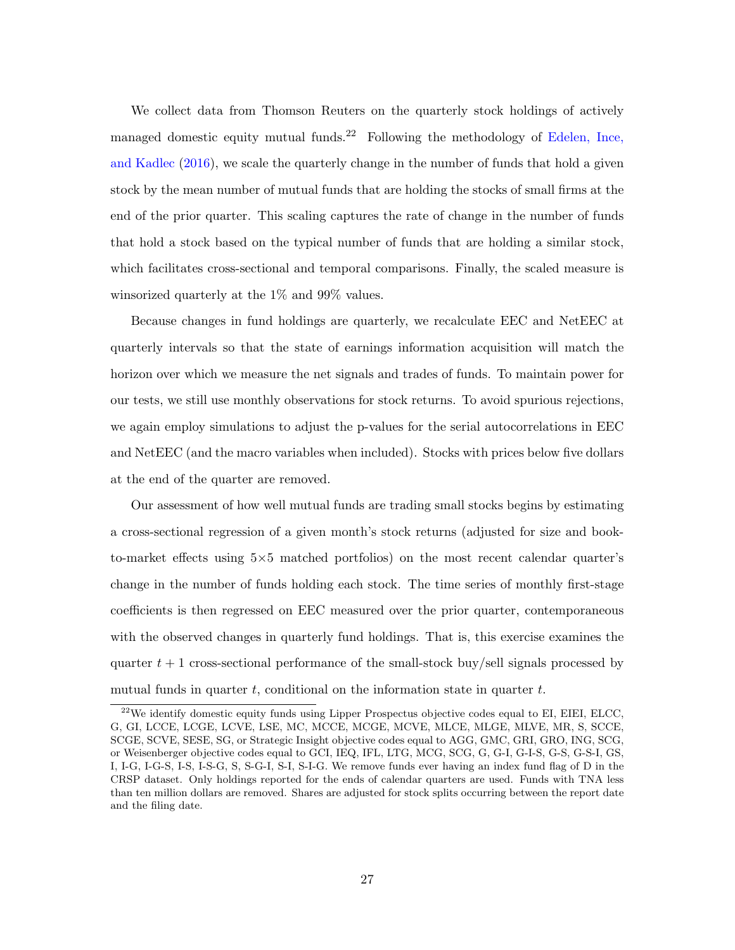<span id="page-27-0"></span>We collect data from Thomson Reuters on the quarterly stock holdings of actively managed domestic equity mutual funds.<sup>22</sup> Following the methodology of [Edelen, Ince,](#page-36-8) [and Kadlec](#page-36-8) [\(2016\)](#page-36-8), we scale the quarterly change in the number of funds that hold a given stock by the mean number of mutual funds that are holding the stocks of small firms at the end of the prior quarter. This scaling captures the rate of change in the number of funds that hold a stock based on the typical number of funds that are holding a similar stock, which facilitates cross-sectional and temporal comparisons. Finally, the scaled measure is winsorized quarterly at the 1% and 99% values.

Because changes in fund holdings are quarterly, we recalculate EEC and NetEEC at quarterly intervals so that the state of earnings information acquisition will match the horizon over which we measure the net signals and trades of funds. To maintain power for our tests, we still use monthly observations for stock returns. To avoid spurious rejections, we again employ simulations to adjust the p-values for the serial autocorrelations in EEC and NetEEC (and the macro variables when included). Stocks with prices below five dollars at the end of the quarter are removed.

Our assessment of how well mutual funds are trading small stocks begins by estimating a cross-sectional regression of a given month's stock returns (adjusted for size and bookto-market effects using 5×5 matched portfolios) on the most recent calendar quarter's change in the number of funds holding each stock. The time series of monthly first-stage coefficients is then regressed on EEC measured over the prior quarter, contemporaneous with the observed changes in quarterly fund holdings. That is, this exercise examines the quarter  $t + 1$  cross-sectional performance of the small-stock buy/sell signals processed by mutual funds in quarter  $t$ , conditional on the information state in quarter  $t$ .

 $^{22}$ We identify domestic equity funds using Lipper Prospectus objective codes equal to EI, EIEI, ELCC, G, GI, LCCE, LCGE, LCVE, LSE, MC, MCCE, MCGE, MCVE, MLCE, MLGE, MLVE, MR, S, SCCE, SCGE, SCVE, SESE, SG, or Strategic Insight objective codes equal to AGG, GMC, GRI, GRO, ING, SCG, or Weisenberger objective codes equal to GCI, IEQ, IFL, LTG, MCG, SCG, G, G-I, G-I-S, G-S, G-S-I, GS, I, I-G, I-G-S, I-S, I-S-G, S, S-G-I, S-I, S-I-G. We remove funds ever having an index fund flag of D in the CRSP dataset. Only holdings reported for the ends of calendar quarters are used. Funds with TNA less than ten million dollars are removed. Shares are adjusted for stock splits occurring between the report date and the filing date.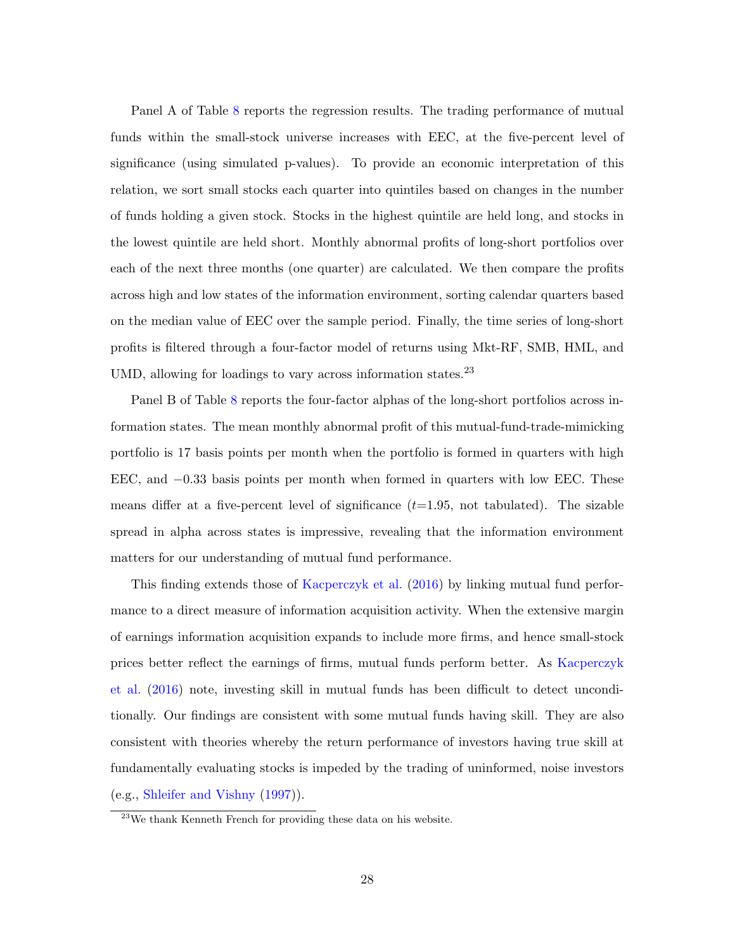<span id="page-28-0"></span>Panel A of Table [8](#page-50-0) reports the regression results. The trading performance of mutual funds within the small-stock universe increases with EEC, at the five-percent level of significance (using simulated p-values). To provide an economic interpretation of this relation, we sort small stocks each quarter into quintiles based on changes in the number of funds holding a given stock. Stocks in the highest quintile are held long, and stocks in the lowest quintile are held short. Monthly abnormal profits of long-short portfolios over each of the next three months (one quarter) are calculated. We then compare the profits across high and low states of the information environment, sorting calendar quarters based on the median value of EEC over the sample period. Finally, the time series of long-short profits is filtered through a four-factor model of returns using Mkt-RF, SMB, HML, and UMD, allowing for loadings to vary across information states.  $23$ 

Panel B of Table [8](#page-50-0) reports the four-factor alphas of the long-short portfolios across information states. The mean monthly abnormal profit of this mutual-fund-trade-mimicking portfolio is 17 basis points per month when the portfolio is formed in quarters with high EEC, and −0.33 basis points per month when formed in quarters with low EEC. These means differ at a five-percent level of significance  $(t=1.95, \text{ not tabulated})$ . The sizable spread in alpha across states is impressive, revealing that the information environment matters for our understanding of mutual fund performance.

This finding extends those of [Kacperczyk et al.](#page-36-0) [\(2016\)](#page-36-0) by linking mutual fund performance to a direct measure of information acquisition activity. When the extensive margin of earnings information acquisition expands to include more firms, and hence small-stock prices better reflect the earnings of firms, mutual funds perform better. As [Kacperczyk](#page-36-0) [et al.](#page-36-0) [\(2016\)](#page-36-0) note, investing skill in mutual funds has been difficult to detect unconditionally. Our findings are consistent with some mutual funds having skill. They are also consistent with theories whereby the return performance of investors having true skill at fundamentally evaluating stocks is impeded by the trading of uninformed, noise investors (e.g., [Shleifer and Vishny](#page-37-14) [\(1997\)](#page-37-14)).

<sup>23</sup>We thank Kenneth French for providing these data on his website.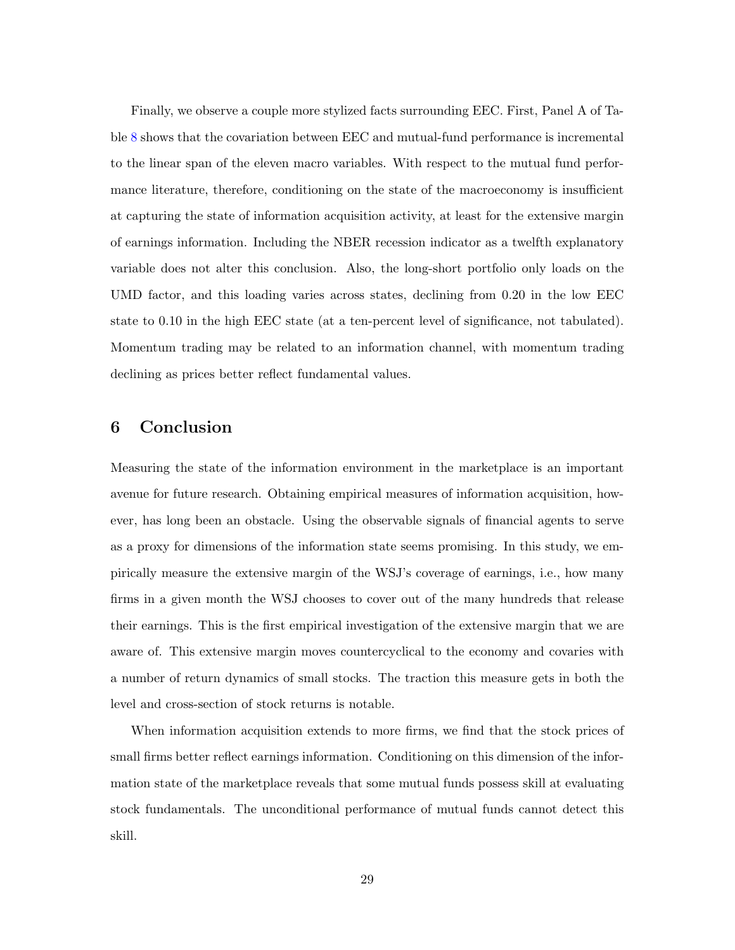Finally, we observe a couple more stylized facts surrounding EEC. First, Panel A of Table [8](#page-50-0) shows that the covariation between EEC and mutual-fund performance is incremental to the linear span of the eleven macro variables. With respect to the mutual fund performance literature, therefore, conditioning on the state of the macroeconomy is insufficient at capturing the state of information acquisition activity, at least for the extensive margin of earnings information. Including the NBER recession indicator as a twelfth explanatory variable does not alter this conclusion. Also, the long-short portfolio only loads on the UMD factor, and this loading varies across states, declining from 0.20 in the low EEC state to 0.10 in the high EEC state (at a ten-percent level of significance, not tabulated). Momentum trading may be related to an information channel, with momentum trading declining as prices better reflect fundamental values.

# 6 Conclusion

Measuring the state of the information environment in the marketplace is an important avenue for future research. Obtaining empirical measures of information acquisition, however, has long been an obstacle. Using the observable signals of financial agents to serve as a proxy for dimensions of the information state seems promising. In this study, we empirically measure the extensive margin of the WSJ's coverage of earnings, i.e., how many firms in a given month the WSJ chooses to cover out of the many hundreds that release their earnings. This is the first empirical investigation of the extensive margin that we are aware of. This extensive margin moves countercyclical to the economy and covaries with a number of return dynamics of small stocks. The traction this measure gets in both the level and cross-section of stock returns is notable.

When information acquisition extends to more firms, we find that the stock prices of small firms better reflect earnings information. Conditioning on this dimension of the information state of the marketplace reveals that some mutual funds possess skill at evaluating stock fundamentals. The unconditional performance of mutual funds cannot detect this skill.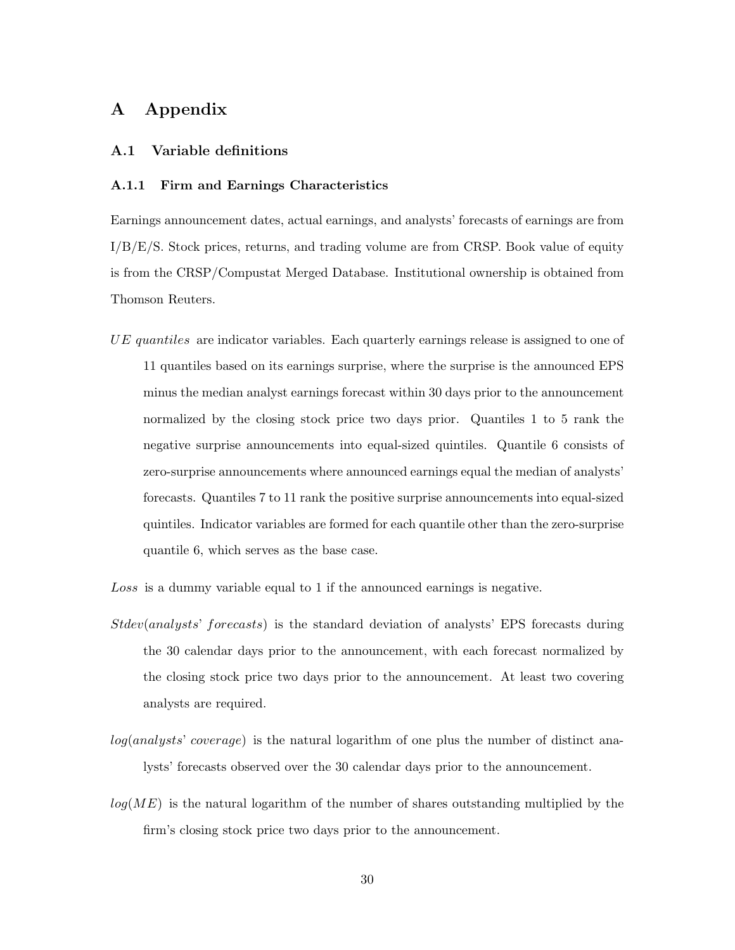# A Appendix

### <span id="page-30-0"></span>A.1 Variable definitions

#### A.1.1 Firm and Earnings Characteristics

Earnings announcement dates, actual earnings, and analysts' forecasts of earnings are from I/B/E/S. Stock prices, returns, and trading volume are from CRSP. Book value of equity is from the CRSP/Compustat Merged Database. Institutional ownership is obtained from Thomson Reuters.

UE quantiles are indicator variables. Each quarterly earnings release is assigned to one of 11 quantiles based on its earnings surprise, where the surprise is the announced EPS minus the median analyst earnings forecast within 30 days prior to the announcement normalized by the closing stock price two days prior. Quantiles 1 to 5 rank the negative surprise announcements into equal-sized quintiles. Quantile 6 consists of zero-surprise announcements where announced earnings equal the median of analysts' forecasts. Quantiles 7 to 11 rank the positive surprise announcements into equal-sized quintiles. Indicator variables are formed for each quantile other than the zero-surprise quantile 6, which serves as the base case.

Loss is a dummy variable equal to 1 if the announced earnings is negative.

- Stdev(analysts' forecasts) is the standard deviation of analysts' EPS forecasts during the 30 calendar days prior to the announcement, with each forecast normalized by the closing stock price two days prior to the announcement. At least two covering analysts are required.
- log(analysts' coverage) is the natural logarithm of one plus the number of distinct analysts' forecasts observed over the 30 calendar days prior to the announcement.
- $log(ME)$  is the natural logarithm of the number of shares outstanding multiplied by the firm's closing stock price two days prior to the announcement.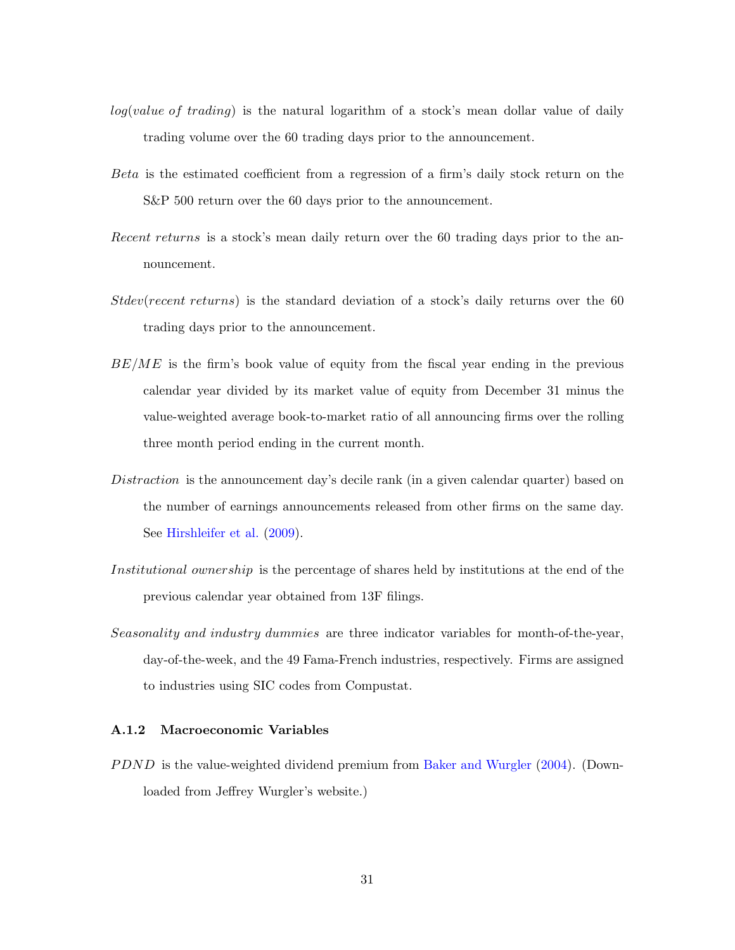- <span id="page-31-1"></span> $log(value of trading)$  is the natural logarithm of a stock's mean dollar value of daily trading volume over the 60 trading days prior to the announcement.
- Beta is the estimated coefficient from a regression of a firm's daily stock return on the S&P 500 return over the 60 days prior to the announcement.
- Recent returns is a stock's mean daily return over the 60 trading days prior to the announcement.
- Stdev(recent returns) is the standard deviation of a stock's daily returns over the 60 trading days prior to the announcement.
- $BE/ME$  is the firm's book value of equity from the fiscal year ending in the previous calendar year divided by its market value of equity from December 31 minus the value-weighted average book-to-market ratio of all announcing firms over the rolling three month period ending in the current month.
- Distraction is the announcement day's decile rank (in a given calendar quarter) based on the number of earnings announcements released from other firms on the same day. See [Hirshleifer et al.](#page-36-7) [\(2009\)](#page-36-7).
- Institutional ownership is the percentage of shares held by institutions at the end of the previous calendar year obtained from 13F filings.
- Seasonality and industry dummies are three indicator variables for month-of-the-year, day-of-the-week, and the 49 Fama-French industries, respectively. Firms are assigned to industries using SIC codes from Compustat.

#### <span id="page-31-0"></span>A.1.2 Macroeconomic Variables

P DND is the value-weighted dividend premium from [Baker and Wurgler](#page-35-12) [\(2004\)](#page-35-12). (Downloaded from Jeffrey Wurgler's website.)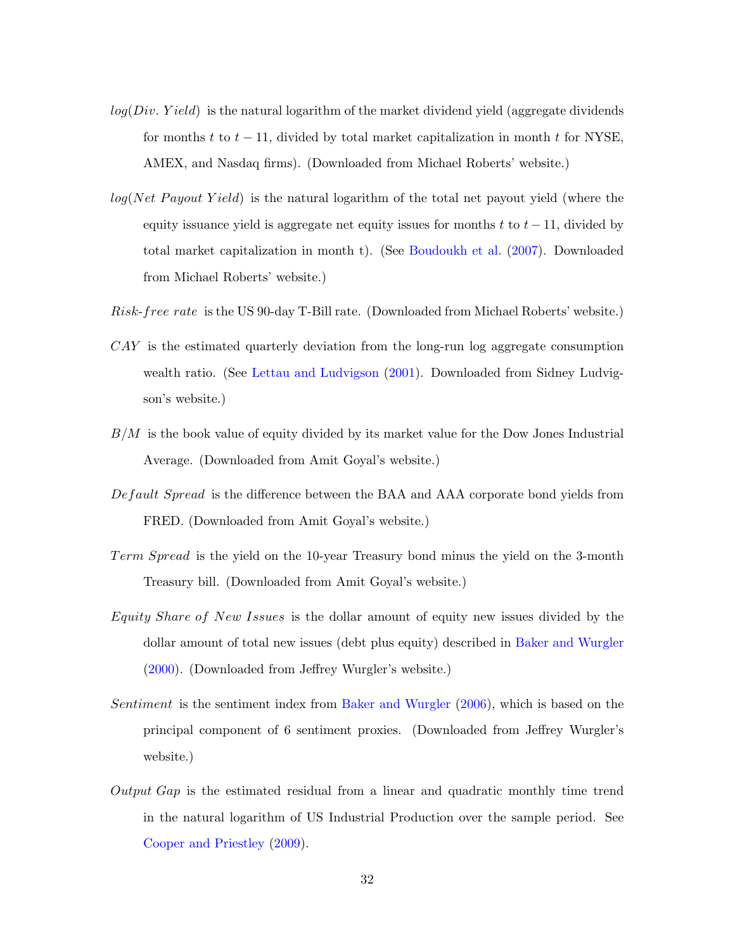- <span id="page-32-0"></span> $log(Div. Yield)$  is the natural logarithm of the market dividend yield (aggregate dividends for months t to  $t - 11$ , divided by total market capitalization in month t for NYSE, AMEX, and Nasdaq firms). (Downloaded from Michael Roberts' website.)
- $log(Net \; Payout \; Yield)$  is the natural logarithm of the total net payout yield (where the equity issuance yield is aggregate net equity issues for months t to  $t - 11$ , divided by total market capitalization in month t). (See [Boudoukh et al.](#page-35-13) [\(2007\)](#page-35-13). Downloaded from Michael Roberts' website.)
- Risk-free rate is the US 90-day T-Bill rate. (Downloaded from Michael Roberts' website.)
- CAY is the estimated quarterly deviation from the long-run log aggregate consumption wealth ratio. (See [Lettau and Ludvigson](#page-36-4) [\(2001\)](#page-36-4). Downloaded from Sidney Ludvigson's website.)
- $B/M$  is the book value of equity divided by its market value for the Dow Jones Industrial Average. (Downloaded from Amit Goyal's website.)
- Def ault Spread is the difference between the BAA and AAA corporate bond yields from FRED. (Downloaded from Amit Goyal's website.)
- Term Spread is the yield on the 10-year Treasury bond minus the yield on the 3-month Treasury bill. (Downloaded from Amit Goyal's website.)
- Equity Share of New Issues is the dollar amount of equity new issues divided by the dollar amount of total new issues (debt plus equity) described in [Baker and Wurgler](#page-35-14) [\(2000\)](#page-35-14). (Downloaded from Jeffrey Wurgler's website.)
- Sentiment is the sentiment index from [Baker and Wurgler](#page-35-7) [\(2006\)](#page-35-7), which is based on the principal component of 6 sentiment proxies. (Downloaded from Jeffrey Wurgler's website.)
- Output Gap is the estimated residual from a linear and quadratic monthly time trend in the natural logarithm of US Industrial Production over the sample period. See [Cooper and Priestley](#page-35-6) [\(2009\)](#page-35-6).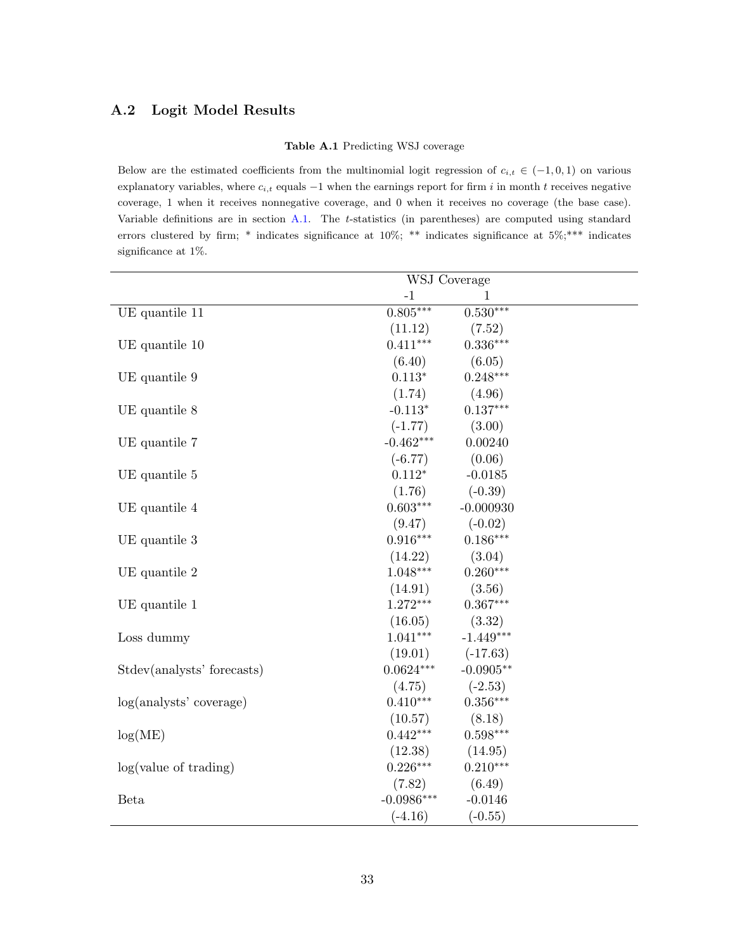## <span id="page-33-0"></span>A.2 Logit Model Results

#### Table A.1 Predicting WSJ coverage

Below are the estimated coefficients from the multinomial logit regression of  $c_{i,t} \in (-1,0,1)$  on various explanatory variables, where  $c_{i,t}$  equals  $-1$  when the earnings report for firm i in month t receives negative coverage, 1 when it receives nonnegative coverage, and 0 when it receives no coverage (the base case). Variable definitions are in section [A.1.](#page-30-0) The t-statistics (in parentheses) are computed using standard errors clustered by firm; \* indicates significance at 10%; \*\* indicates significance at 5%;\*\*\* indicates significance at 1%.

|                            | WSJ Coverage |             |
|----------------------------|--------------|-------------|
|                            | $-1$         | 1           |
| UE quantile 11             | $0.805***$   | $0.530***$  |
|                            | (11.12)      | (7.52)      |
| UE quantile 10             | $0.411***$   | $0.336***$  |
|                            | (6.40)       | (6.05)      |
| UE quantile 9              | $0.113*$     | $0.248***$  |
|                            | (1.74)       | (4.96)      |
| UE quantile 8              | $-0.113*$    | $0.137***$  |
|                            | $(-1.77)$    | (3.00)      |
| UE quantile 7              | $-0.462***$  | 0.00240     |
|                            | $(-6.77)$    | (0.06)      |
| UE quantile 5              | $0.112*$     | $-0.0185$   |
|                            | (1.76)       | $(-0.39)$   |
| UE quantile 4              | $0.603***$   | $-0.000930$ |
|                            | (9.47)       | $(-0.02)$   |
| UE quantile 3              | $0.916***$   | $0.186***$  |
|                            | (14.22)      | (3.04)      |
| UE quantile 2              | $1.048***$   | $0.260***$  |
|                            | (14.91)      | (3.56)      |
| UE quantile 1              | $1.272***$   | $0.367***$  |
|                            | (16.05)      | (3.32)      |
| Loss dummy                 | $1.041***$   | $-1.449***$ |
|                            | (19.01)      | $(-17.63)$  |
| Stdev(analysts' forecasts) | $0.0624***$  | $-0.0905**$ |
|                            | (4.75)       | $(-2.53)$   |
| log(analysts' coverage)    | $0.410***$   | $0.356***$  |
|                            | (10.57)      | (8.18)      |
| log(ME)                    | $0.442***$   | $0.598***$  |
|                            | (12.38)      | (14.95)     |
| log(value of trading)      | $0.226***$   | $0.210***$  |
|                            | (7.82)       | (6.49)      |
| Beta                       | $-0.0986***$ | $-0.0146$   |
|                            | $(-4.16)$    | $(-0.55)$   |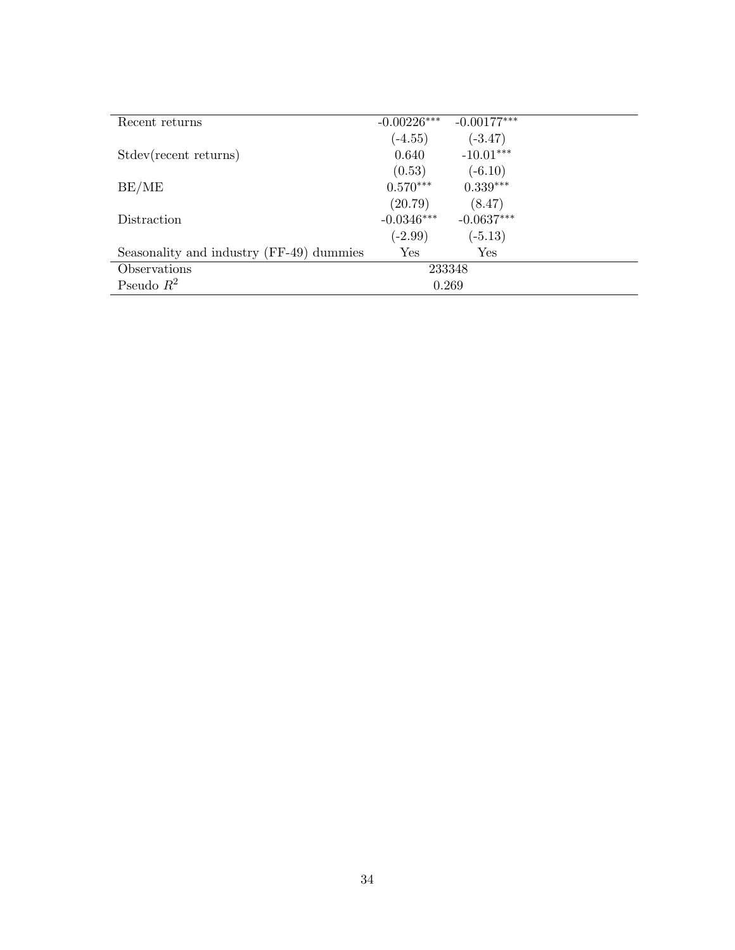| Recent returns                           | $-0.00226***$ | $-0.00177***$ |
|------------------------------------------|---------------|---------------|
|                                          | $(-4.55)$     | $(-3.47)$     |
| Stdev(recent returns)                    | 0.640         | $-10.01***$   |
|                                          | (0.53)        | $(-6.10)$     |
| BE/ME                                    | $0.570***$    | $0.339***$    |
|                                          | (20.79)       | (8.47)        |
| Distraction                              | $-0.0346***$  | $-0.0637***$  |
|                                          | $(-2.99)$     | $(-5.13)$     |
| Seasonality and industry (FF-49) dummies | Yes           | Yes           |
| Observations                             |               | 233348        |
| Pseudo $R^2$                             |               | 0.269         |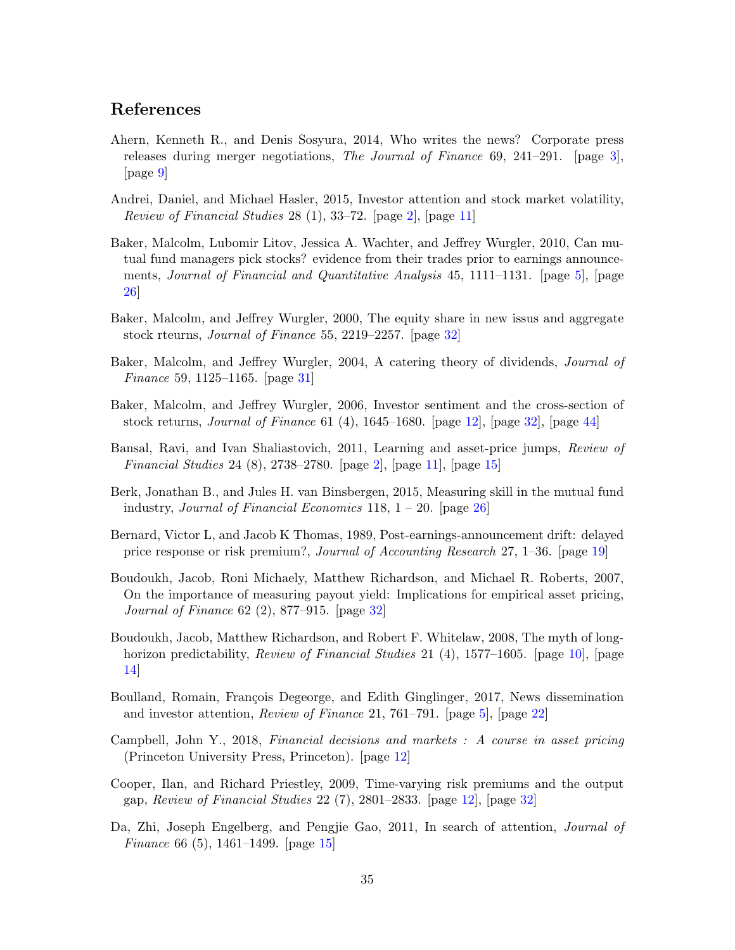## <span id="page-35-15"></span>References

- <span id="page-35-2"></span>Ahern, Kenneth R., and Denis Sosyura, 2014, Who writes the news? Corporate press releases during merger negotiations, The Journal of Finance 69, 241–291. [page [3\]](#page-3-0), [page [9\]](#page-9-0)
- <span id="page-35-1"></span>Andrei, Daniel, and Michael Hasler, 2015, Investor attention and stock market volatility, Review of Financial Studies 28 (1), 33–72. [page [2\]](#page-2-0), [page [11\]](#page-11-1)
- <span id="page-35-3"></span>Baker, Malcolm, Lubomir Litov, Jessica A. Wachter, and Jeffrey Wurgler, 2010, Can mutual fund managers pick stocks? evidence from their trades prior to earnings announce-ments, Journal of Financial and Quantitative Analysis 45, 1111–1131. [page [5\]](#page-5-0), [page [26\]](#page-26-0)
- <span id="page-35-14"></span>Baker, Malcolm, and Jeffrey Wurgler, 2000, The equity share in new issus and aggregate stock rteurns, Journal of Finance 55, 2219–2257. [page [32\]](#page-32-0)
- <span id="page-35-12"></span>Baker, Malcolm, and Jeffrey Wurgler, 2004, A catering theory of dividends, Journal of Finance 59, 1125–1165. [page [31\]](#page-31-1)
- <span id="page-35-7"></span>Baker, Malcolm, and Jeffrey Wurgler, 2006, Investor sentiment and the cross-section of stock returns, Journal of Finance 61 (4), 1645–1680. [page [12\]](#page-12-0), [page [32\]](#page-32-0), [page [44\]](#page-44-1)
- <span id="page-35-0"></span>Bansal, Ravi, and Ivan Shaliastovich, 2011, Learning and asset-price jumps, Review of Financial Studies 24 (8), 2738–2780. [page [2\]](#page-2-0), [page [11\]](#page-11-1), [page [15\]](#page-15-0)
- <span id="page-35-11"></span>Berk, Jonathan B., and Jules H. van Binsbergen, 2015, Measuring skill in the mutual fund industry, Journal of Financial Economics 118,  $1 - 20$ . [page [26\]](#page-26-0)
- <span id="page-35-10"></span>Bernard, Victor L, and Jacob K Thomas, 1989, Post-earnings-announcement drift: delayed price response or risk premium?, Journal of Accounting Research 27, 1–36. [page [19\]](#page-19-1)
- <span id="page-35-13"></span>Boudoukh, Jacob, Roni Michaely, Matthew Richardson, and Michael R. Roberts, 2007, On the importance of measuring payout yield: Implications for empirical asset pricing, Journal of Finance 62 (2), 877–915. [page [32\]](#page-32-0)
- <span id="page-35-5"></span>Boudoukh, Jacob, Matthew Richardson, and Robert F. Whitelaw, 2008, The myth of longhorizon predictability, *Review of Financial Studies* 21 (4), 1577–1605. [page [10\]](#page-10-0), [page [14\]](#page-14-0)
- <span id="page-35-4"></span>Boulland, Romain, François Degeorge, and Edith Ginglinger, 2017, News dissemination and investor attention, Review of Finance 21, 761–791. [page [5\]](#page-5-0), [page [22\]](#page-22-0)
- <span id="page-35-8"></span>Campbell, John Y., 2018, Financial decisions and markets : A course in asset pricing (Princeton University Press, Princeton). [page [12\]](#page-12-0)
- <span id="page-35-6"></span>Cooper, Ilan, and Richard Priestley, 2009, Time-varying risk premiums and the output gap, Review of Financial Studies 22 (7), 2801–2833. [page [12\]](#page-12-0), [page [32\]](#page-32-0)
- <span id="page-35-9"></span>Da, Zhi, Joseph Engelberg, and Pengjie Gao, 2011, In search of attention, Journal of Finance 66 (5), 1461–1499. [page [15\]](#page-15-0)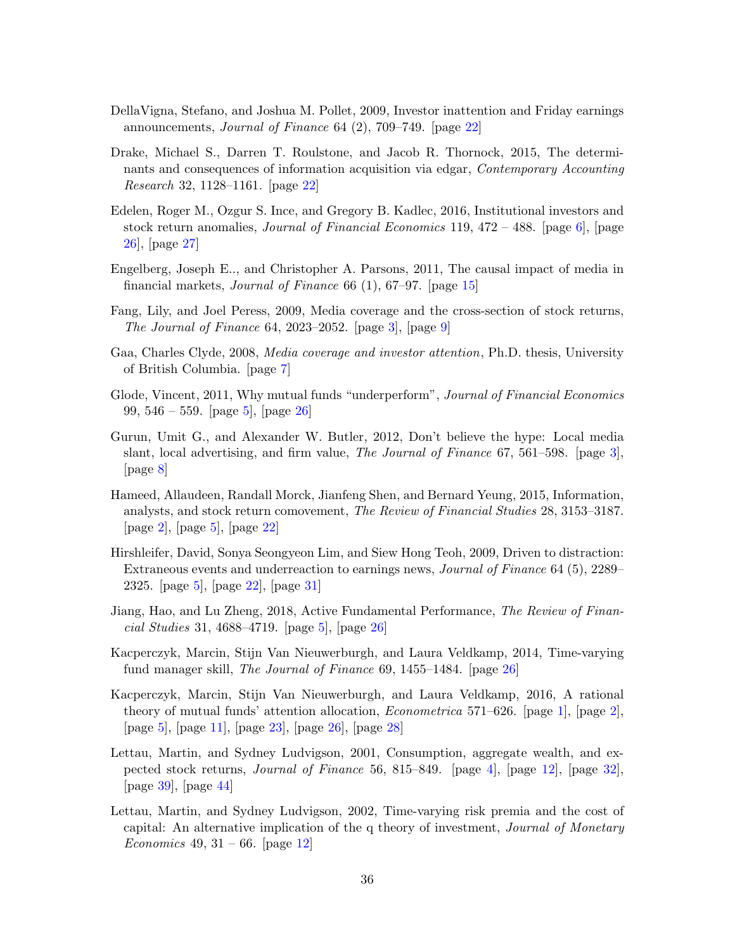- <span id="page-36-15"></span><span id="page-36-12"></span>DellaVigna, Stefano, and Joshua M. Pollet, 2009, Investor inattention and Friday earnings announcements, Journal of Finance 64 (2), 709–749. [page [22\]](#page-22-0)
- <span id="page-36-13"></span>Drake, Michael S., Darren T. Roulstone, and Jacob R. Thornock, 2015, The determinants and consequences of information acquisition via edgar, Contemporary Accounting Research 32, 1128–1161. [page [22\]](#page-22-0)
- <span id="page-36-8"></span>Edelen, Roger M., Ozgur S. Ince, and Gregory B. Kadlec, 2016, Institutional investors and stock return anomalies, *Journal of Financial Economics* 119,  $472 - 488$ . [page [6\]](#page-6-0), [page [26\]](#page-26-0), [page [27\]](#page-27-0)
- <span id="page-36-11"></span>Engelberg, Joseph E.., and Christopher A. Parsons, 2011, The causal impact of media in financial markets, Journal of Finance 66 (1), 67–97. [page [15\]](#page-15-0)
- <span id="page-36-2"></span>Fang, Lily, and Joel Peress, 2009, Media coverage and the cross-section of stock returns, The Journal of Finance 64, 2023–2052. [page [3\]](#page-3-0), [page [9\]](#page-9-0)
- <span id="page-36-9"></span>Gaa, Charles Clyde, 2008, Media coverage and investor attention, Ph.D. thesis, University of British Columbia. [page [7\]](#page-7-1)
- <span id="page-36-6"></span>Glode, Vincent, 2011, Why mutual funds "underperform", Journal of Financial Economics 99,  $546 - 559$ . [page [5\]](#page-5-0), [page [26\]](#page-26-0)
- <span id="page-36-3"></span>Gurun, Umit G., and Alexander W. Butler, 2012, Don't believe the hype: Local media slant, local advertising, and firm value, The Journal of Finance 67, 561–598. [page [3\]](#page-3-0), [page [8\]](#page-8-0)
- <span id="page-36-1"></span>Hameed, Allaudeen, Randall Morck, Jianfeng Shen, and Bernard Yeung, 2015, Information, analysts, and stock return comovement, The Review of Financial Studies 28, 3153–3187. [page [2\]](#page-2-0), [page [5\]](#page-5-0), [page [22\]](#page-22-0)
- <span id="page-36-7"></span>Hirshleifer, David, Sonya Seongyeon Lim, and Siew Hong Teoh, 2009, Driven to distraction: Extraneous events and underreaction to earnings news, Journal of Finance 64 (5), 2289– 2325. [page [5\]](#page-5-0), [page [22\]](#page-22-0), [page [31\]](#page-31-1)
- <span id="page-36-5"></span>Jiang, Hao, and Lu Zheng, 2018, Active Fundamental Performance, The Review of Financial Studies 31, 4688–4719. [page [5\]](#page-5-0), [page [26\]](#page-26-0)
- <span id="page-36-14"></span>Kacperczyk, Marcin, Stijn Van Nieuwerburgh, and Laura Veldkamp, 2014, Time-varying fund manager skill, The Journal of Finance 69, 1455–1484. [page [26\]](#page-26-0)
- <span id="page-36-0"></span>Kacperczyk, Marcin, Stijn Van Nieuwerburgh, and Laura Veldkamp, 2016, A rational theory of mutual funds' attention allocation, *Econometrica* 571–626. [page [1\]](#page-1-0), [page [2\]](#page-2-0), [page [5\]](#page-5-0), [page [11\]](#page-11-1), [page [23\]](#page-23-0), [page [26\]](#page-26-0), [page [28\]](#page-28-0)
- <span id="page-36-4"></span>Lettau, Martin, and Sydney Ludvigson, 2001, Consumption, aggregate wealth, and expected stock returns, Journal of Finance 56, 815–849. [page [4\]](#page-4-0), [page [12\]](#page-12-0), [page [32\]](#page-32-0), [page [39\]](#page-39-1), [page [44\]](#page-44-1)
- <span id="page-36-10"></span>Lettau, Martin, and Sydney Ludvigson, 2002, Time-varying risk premia and the cost of capital: An alternative implication of the q theory of investment, Journal of Monetary *Economics* 49, 31 – 66. [page [12\]](#page-12-0)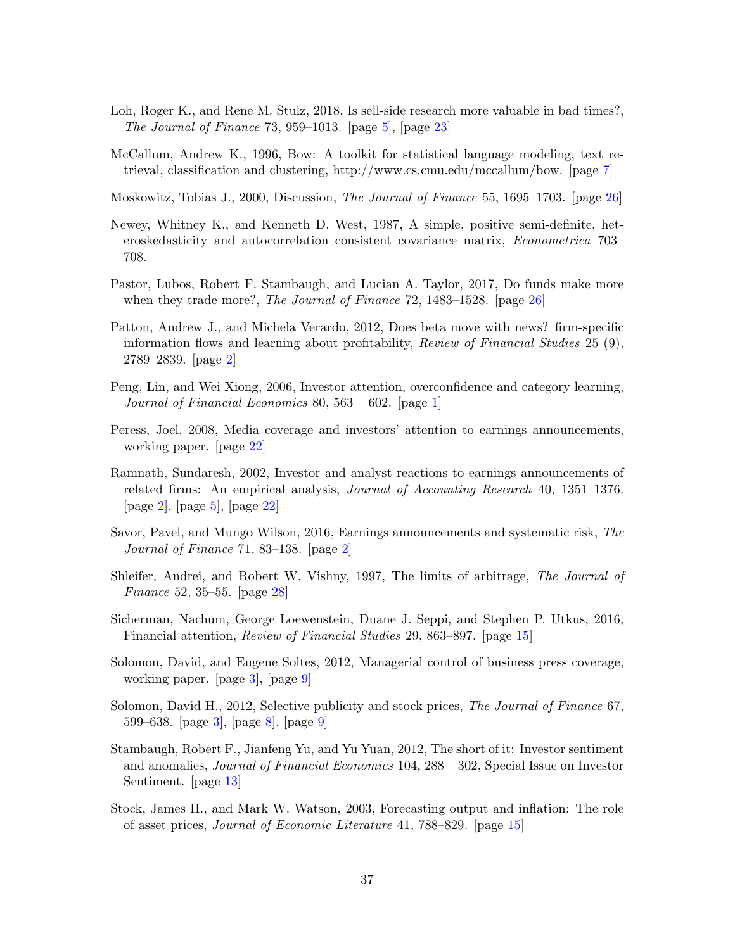- <span id="page-37-6"></span>Loh, Roger K., and Rene M. Stulz, 2018, Is sell-side research more valuable in bad times?, The Journal of Finance 73, 959–1013. [page  $5$ ], [page  $23$ ]
- <span id="page-37-7"></span>McCallum, Andrew K., 1996, Bow: A toolkit for statistical language modeling, text retrieval, classification and clustering, http://www.cs.cmu.edu/mccallum/bow. [page [7\]](#page-7-1)

<span id="page-37-12"></span>Moskowitz, Tobias J., 2000, Discussion, The Journal of Finance 55, 1695–1703. [page [26\]](#page-26-0)

- Newey, Whitney K., and Kenneth D. West, 1987, A simple, positive semi-definite, heteroskedasticity and autocorrelation consistent covariance matrix, Econometrica 703– 708.
- <span id="page-37-13"></span>Pastor, Lubos, Robert F. Stambaugh, and Lucian A. Taylor, 2017, Do funds make more when they trade more?, *The Journal of Finance* 72, 1483–1528. [page [26\]](#page-26-0)
- <span id="page-37-3"></span>Patton, Andrew J., and Michela Verardo, 2012, Does beta move with news? firm-specific information flows and learning about profitability, *Review of Financial Studies*  $25$  (9), 2789–2839. [page [2\]](#page-2-0)
- <span id="page-37-0"></span>Peng, Lin, and Wei Xiong, 2006, Investor attention, overconfidence and category learning, Journal of Financial Economics 80,  $563 - 602$ . [page [1\]](#page-1-0)
- <span id="page-37-11"></span>Peress, Joel, 2008, Media coverage and investors' attention to earnings announcements, working paper. [page [22\]](#page-22-0)
- <span id="page-37-1"></span>Ramnath, Sundaresh, 2002, Investor and analyst reactions to earnings announcements of related firms: An empirical analysis, Journal of Accounting Research 40, 1351–1376. [page [2\]](#page-2-0), [page [5\]](#page-5-0), [page [22\]](#page-22-0)
- <span id="page-37-2"></span>Savor, Pavel, and Mungo Wilson, 2016, Earnings announcements and systematic risk, The Journal of Finance 71, 83–138. [page [2\]](#page-2-0)
- <span id="page-37-14"></span>Shleifer, Andrei, and Robert W. Vishny, 1997, The limits of arbitrage, The Journal of Finance 52, 35–55. [page [28\]](#page-28-0)
- <span id="page-37-9"></span>Sicherman, Nachum, George Loewenstein, Duane J. Seppi, and Stephen P. Utkus, 2016, Financial attention, Review of Financial Studies 29, 863–897. [page [15\]](#page-15-0)
- <span id="page-37-5"></span>Solomon, David, and Eugene Soltes, 2012, Managerial control of business press coverage, working paper. [page [3\]](#page-3-0), [page [9\]](#page-9-0)
- <span id="page-37-4"></span>Solomon, David H., 2012, Selective publicity and stock prices, The Journal of Finance 67, 599–638. [page [3\]](#page-3-0), [page [8\]](#page-8-0), [page [9\]](#page-9-0)
- <span id="page-37-8"></span>Stambaugh, Robert F., Jianfeng Yu, and Yu Yuan, 2012, The short of it: Investor sentiment and anomalies, Journal of Financial Economics 104, 288 – 302, Special Issue on Investor Sentiment. [page [13\]](#page-13-0)
- <span id="page-37-10"></span>Stock, James H., and Mark W. Watson, 2003, Forecasting output and inflation: The role of asset prices, Journal of Economic Literature 41, 788–829. [page [15\]](#page-15-0)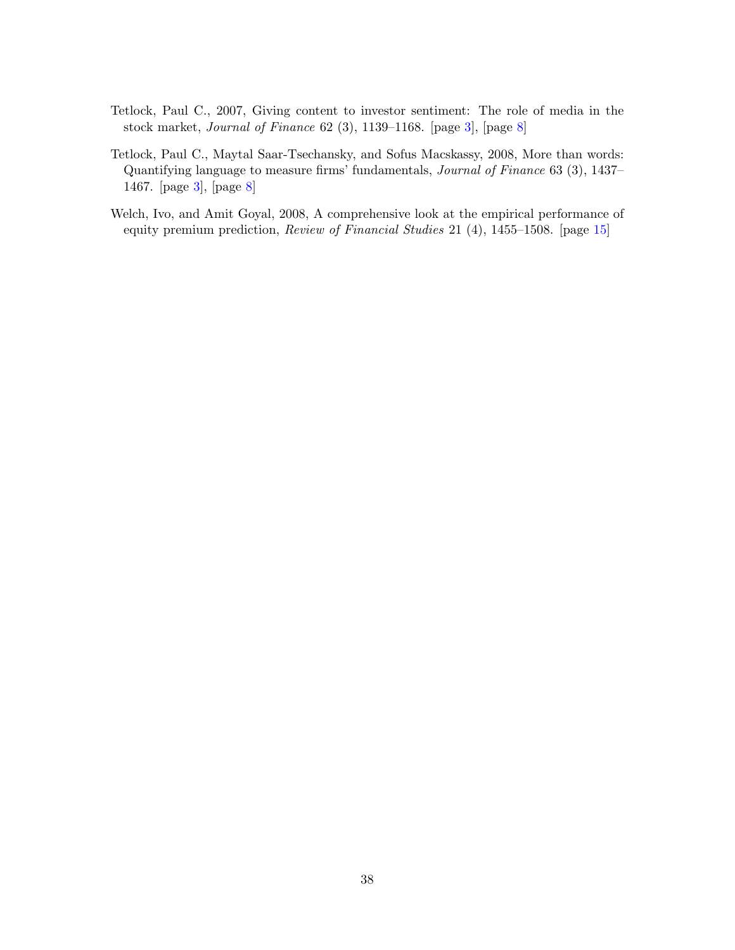- <span id="page-38-0"></span>Tetlock, Paul C., 2007, Giving content to investor sentiment: The role of media in the stock market, Journal of Finance 62 (3), 1139–1168. [page [3\]](#page-3-0), [page [8\]](#page-8-0)
- <span id="page-38-1"></span>Tetlock, Paul C., Maytal Saar-Tsechansky, and Sofus Macskassy, 2008, More than words: Quantifying language to measure firms' fundamentals, Journal of Finance 63 (3), 1437– 1467. [page [3\]](#page-3-0), [page [8\]](#page-8-0)
- <span id="page-38-2"></span>Welch, Ivo, and Amit Goyal, 2008, A comprehensive look at the empirical performance of equity premium prediction, Review of Financial Studies 21 (4), 1455–1508. [page [15\]](#page-15-0)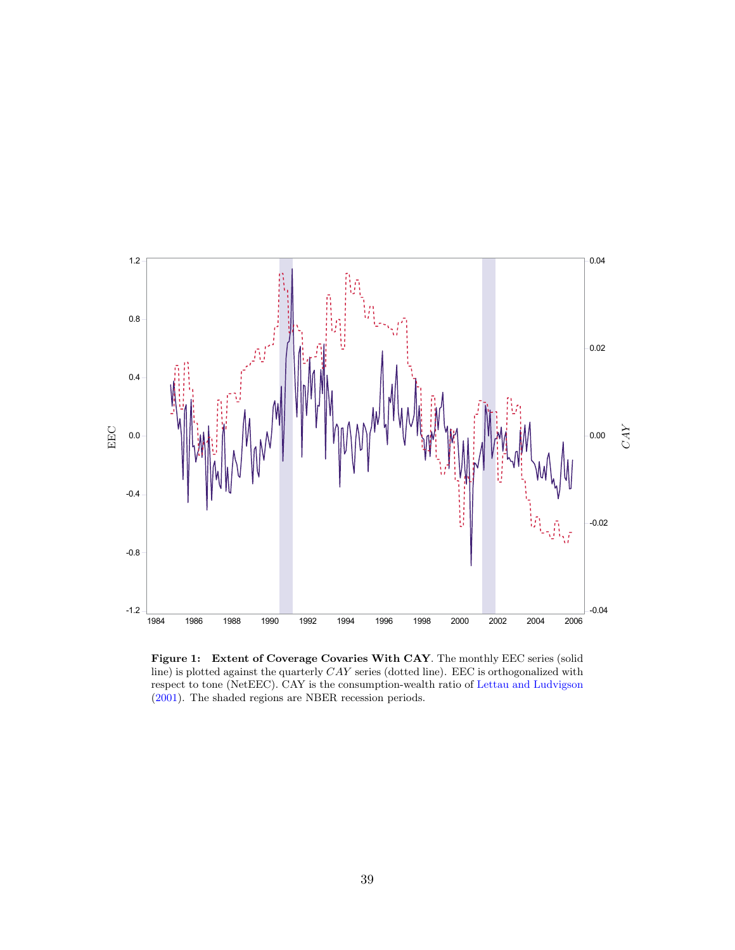<span id="page-39-1"></span><span id="page-39-0"></span>

Figure 1: Extent of Coverage Covaries With CAY. The monthly EEC series (solid line) is plotted against the quarterly  $CAY$  series (dotted line). EEC is orthogonalized with respect to tone (NetEEC). CAY is the consumption-wealth ratio of [Lettau and Ludvigson](#page-36-4) [\(2001\)](#page-36-4). The shaded regions are NBER recession periods.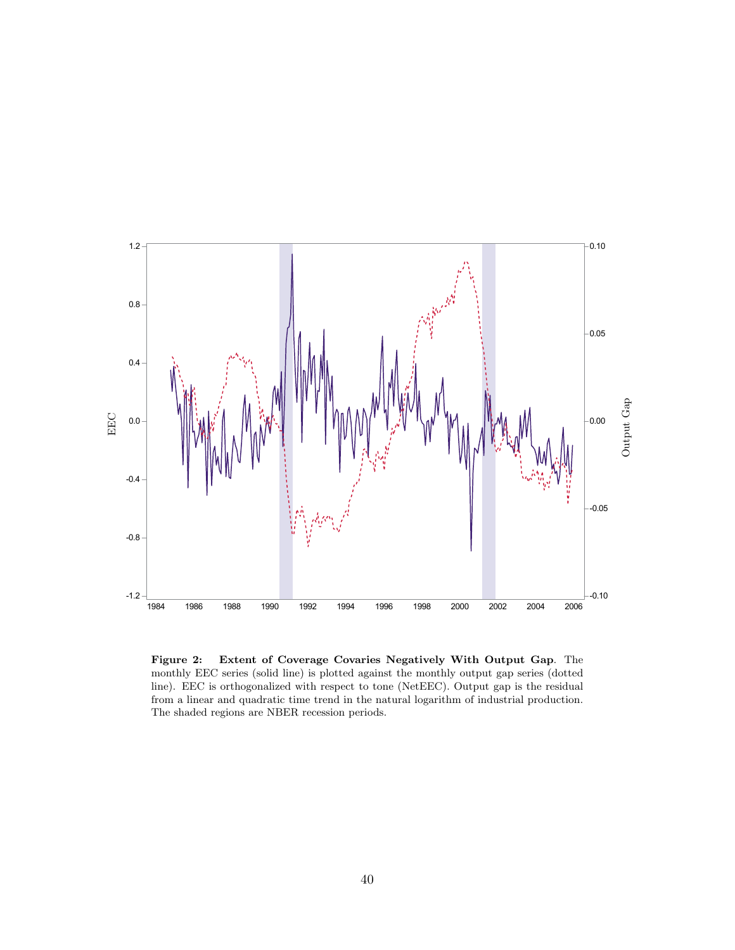<span id="page-40-0"></span>

Figure 2: Extent of Coverage Covaries Negatively With Output Gap. The monthly EEC series (solid line) is plotted against the monthly output gap series (dotted line). EEC is orthogonalized with respect to tone (NetEEC). Output gap is the residual from a linear and quadratic time trend in the natural logarithm of industrial production. The shaded regions are NBER recession periods.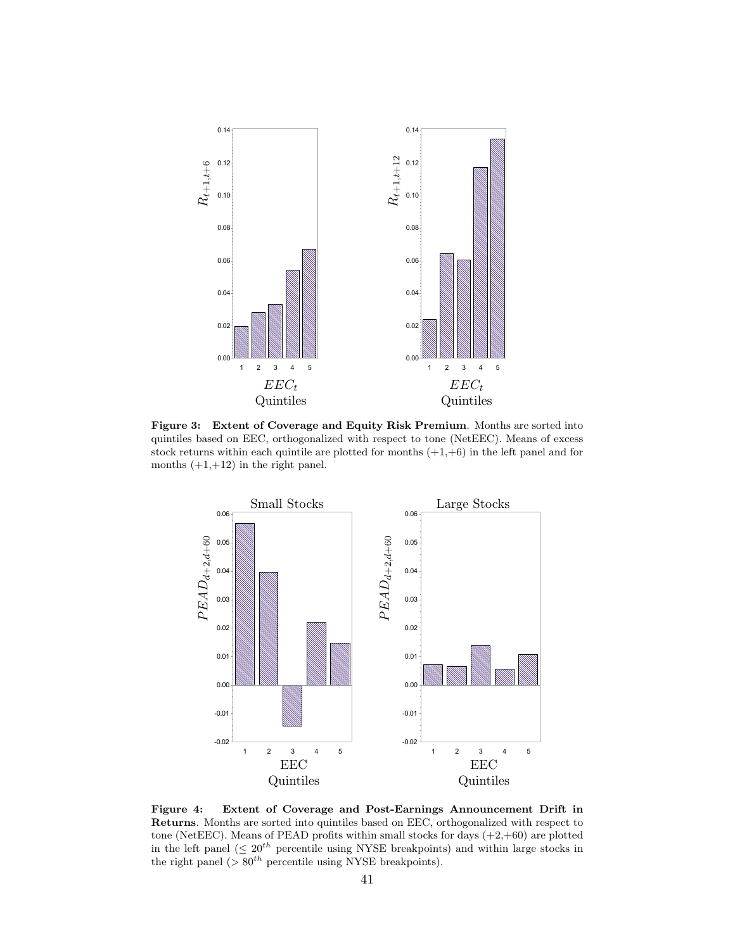<span id="page-41-0"></span>

Figure 3: Extent of Coverage and Equity Risk Premium. Months are sorted into quintiles based on EEC, orthogonalized with respect to tone (NetEEC). Means of excess stock returns within each quintile are plotted for months  $(+1, +6)$  in the left panel and for months  $(+1,+12)$  in the right panel.



Figure 4: Extent of Coverage and Post-Earnings Announcement Drift in Returns. Months are sorted into quintiles based on EEC, orthogonalized with respect to tone (NetEEC). Means of PEAD profits within small stocks for days  $(+2, +60)$  are plotted in the left panel ( $\leq 20^{th}$  percentile using NYSE breakpoints) and within large stocks in the right panel ( $> 80^{th}$  percentile using NYSE breakpoints).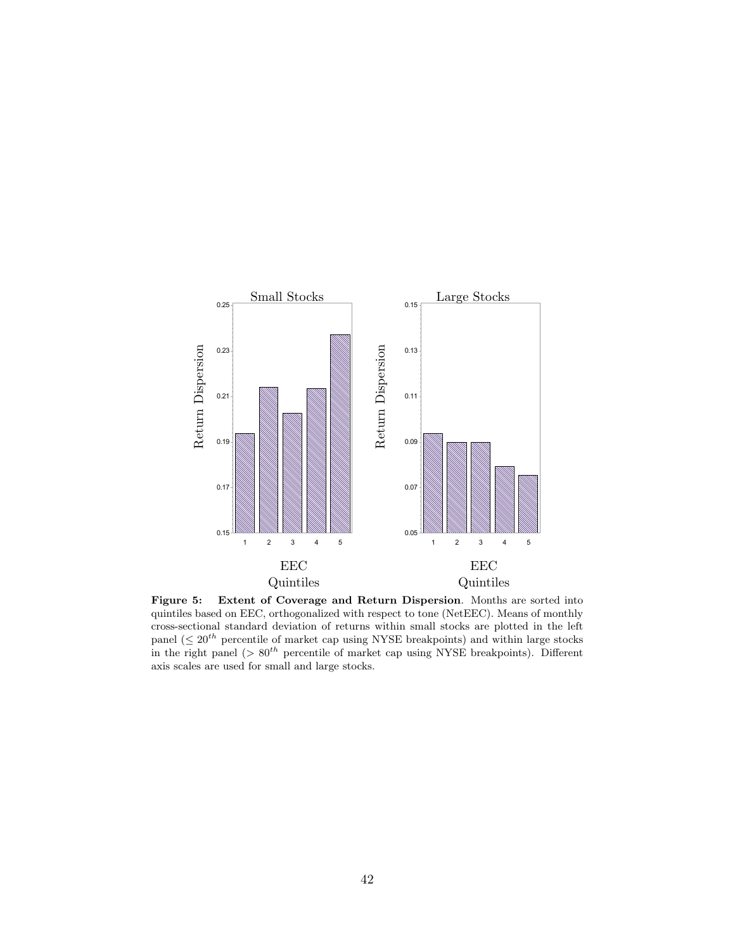<span id="page-42-0"></span>

Figure 5: Extent of Coverage and Return Dispersion. Months are sorted into quintiles based on EEC, orthogonalized with respect to tone (NetEEC). Means of monthly cross-sectional standard deviation of returns within small stocks are plotted in the left panel ( $\leq 20^{th}$  percentile of market cap using NYSE breakpoints) and within large stocks in the right panel ( $> 80<sup>th</sup>$  percentile of market cap using NYSE breakpoints). Different axis scales are used for small and large stocks.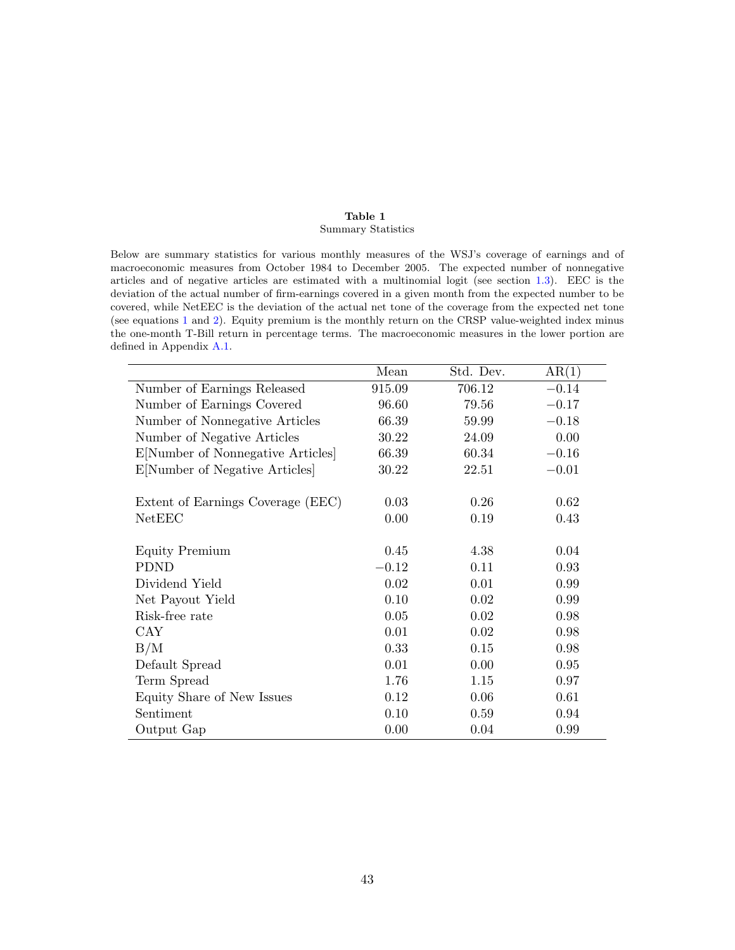#### Table 1 Summary Statistics

<span id="page-43-0"></span>Below are summary statistics for various monthly measures of the WSJ's coverage of earnings and of macroeconomic measures from October 1984 to December 2005. The expected number of nonnegative articles and of negative articles are estimated with a multinomial logit (see section [1.3\)](#page-8-1). EEC is the deviation of the actual number of firm-earnings covered in a given month from the expected number to be covered, while NetEEC is the deviation of the actual net tone of the coverage from the expected net tone (see equations [1](#page-10-1) and [2\)](#page-11-2). Equity premium is the monthly return on the CRSP value-weighted index minus the one-month T-Bill return in percentage terms. The macroeconomic measures in the lower portion are defined in Appendix [A.1.](#page-30-0)

|                                   | Mean    | Std. Dev. | AR(1)   |
|-----------------------------------|---------|-----------|---------|
| Number of Earnings Released       | 915.09  | 706.12    | $-0.14$ |
| Number of Earnings Covered        | 96.60   | 79.56     | $-0.17$ |
| Number of Nonnegative Articles    | 66.39   | 59.99     | $-0.18$ |
| Number of Negative Articles       | 30.22   | 24.09     | 0.00    |
| E[Number of Nonnegative Articles] | 66.39   | 60.34     | $-0.16$ |
| E[Number of Negative Articles]    | 30.22   | 22.51     | $-0.01$ |
|                                   |         |           |         |
| Extent of Earnings Coverage (EEC) | 0.03    | 0.26      | 0.62    |
| NetEEC                            | 0.00    | 0.19      | 0.43    |
|                                   |         |           |         |
| <b>Equity Premium</b>             | 0.45    | 4.38      | 0.04    |
| <b>PDND</b>                       | $-0.12$ | 0.11      | 0.93    |
| Dividend Yield                    | 0.02    | 0.01      | 0.99    |
| Net Payout Yield                  | 0.10    | 0.02      | 0.99    |
| Risk-free rate                    | 0.05    | 0.02      | 0.98    |
| CAY                               | 0.01    | 0.02      | 0.98    |
| B/M                               | 0.33    | 0.15      | 0.98    |
| Default Spread                    | 0.01    | 0.00      | 0.95    |
| Term Spread                       | 1.76    | 1.15      | 0.97    |
| Equity Share of New Issues        | 0.12    | 0.06      | 0.61    |
| Sentiment                         | 0.10    | 0.59      | 0.94    |
| Output Gap                        | 0.00    | 0.04      | 0.99    |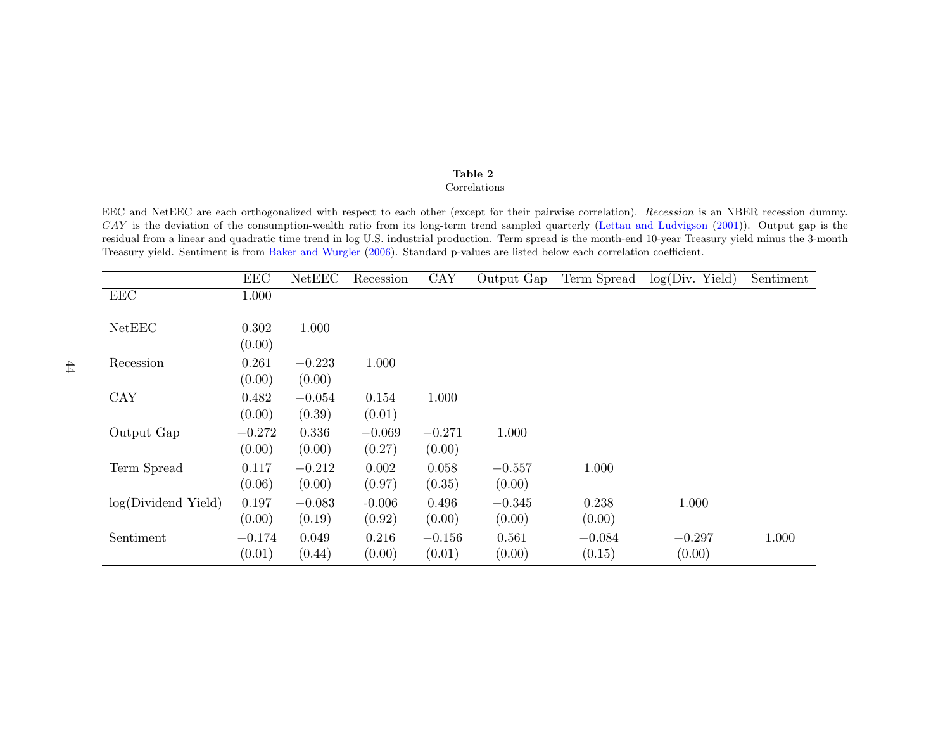## <span id="page-44-0"></span>Table 2

#### Correlations

<span id="page-44-1"></span>EEC and NetEEC are each orthogonalized with respect to each other (except for their pairwise correlation). Recession is an NBER recession dummy. CAY is the deviation of the consumption-wealth ratio from its long-term trend sampled quarterly (Lettau and [Ludvigson](#page-36-15) ([2001\)](#page-36-15)). Output gap is the residual from <sup>a</sup> linear and quadratic time trend in log U.S. industrial production. Term spread is the month-end 10-year Treasury <sup>y</sup>ield minus the 3-monthTreasury <sup>y</sup>ield. Sentiment is from Baker and [Wurgler](#page-35-15) [\(2006\)](#page-35-15). Standard p-values are listed below each correlation coefficient.

|                     | EEC      | NetEEC   | Recession | CAY      | Output Gap | Term Spread | log(Div. Yield) | Sentiment |
|---------------------|----------|----------|-----------|----------|------------|-------------|-----------------|-----------|
| $\rm{EEC}$          | 1.000    |          |           |          |            |             |                 |           |
|                     |          |          |           |          |            |             |                 |           |
| NetEEC              | 0.302    | 1.000    |           |          |            |             |                 |           |
|                     | (0.00)   |          |           |          |            |             |                 |           |
| Recession           | 0.261    | $-0.223$ | 1.000     |          |            |             |                 |           |
|                     | (0.00)   | (0.00)   |           |          |            |             |                 |           |
| CAY                 | 0.482    | $-0.054$ | 0.154     | 1.000    |            |             |                 |           |
|                     | (0.00)   | (0.39)   | (0.01)    |          |            |             |                 |           |
| Output Gap          | $-0.272$ | 0.336    | $-0.069$  | $-0.271$ | 1.000      |             |                 |           |
|                     | (0.00)   | (0.00)   | (0.27)    | (0.00)   |            |             |                 |           |
| Term Spread         | 0.117    | $-0.212$ | 0.002     | 0.058    | $-0.557$   | 1.000       |                 |           |
|                     | (0.06)   | (0.00)   | (0.97)    | (0.35)   | (0.00)     |             |                 |           |
| log(Dividend Yield) | 0.197    | $-0.083$ | $-0.006$  | 0.496    | $-0.345$   | 0.238       | 1.000           |           |
|                     | (0.00)   | (0.19)   | (0.92)    | (0.00)   | (0.00)     | (0.00)      |                 |           |
| Sentiment           | $-0.174$ | 0.049    | 0.216     | $-0.156$ | 0.561      | $-0.084$    | $-0.297$        | 1.000     |
|                     | (0.01)   | (0.44)   | (0.00)    | (0.01)   | (0.00)     | (0.15)      | (0.00)          |           |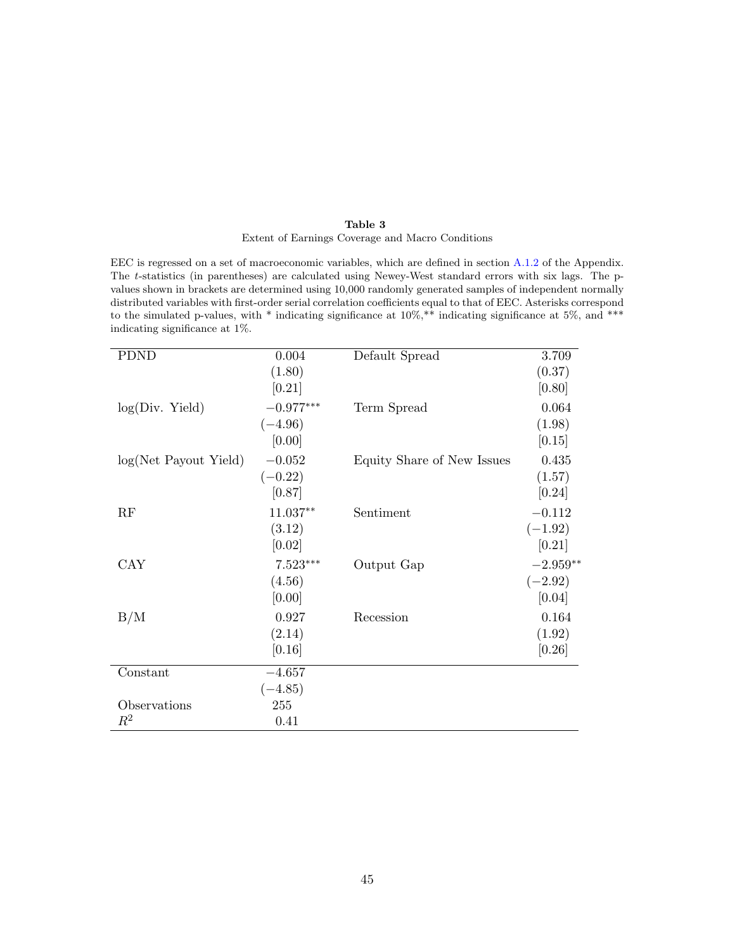#### Table 3 Extent of Earnings Coverage and Macro Conditions

<span id="page-45-0"></span>EEC is regressed on a set of macroeconomic variables, which are defined in section [A.1.2](#page-31-0) of the Appendix. The t-statistics (in parentheses) are calculated using Newey-West standard errors with six lags. The pvalues shown in brackets are determined using 10,000 randomly generated samples of independent normally distributed variables with first-order serial correlation coefficients equal to that of EEC. Asterisks correspond to the simulated p-values, with  $*$  indicating significance at 10%,  $**$  indicating significance at 5%, and  $***$ indicating significance at 1%.

| <b>PDND</b>                   | 0.004       | Default Spread             | 3.709      |
|-------------------------------|-------------|----------------------------|------------|
|                               | (1.80)      |                            | (0.37)     |
|                               | [0.21]      |                            | [0.80]     |
| $log(Div.$ Yield)             | $-0.977***$ | Term Spread                | 0.064      |
|                               | $(-4.96)$   |                            | (1.98)     |
|                               | [0.00]      |                            | [0.15]     |
| $log(Net \; Payout \; Yield)$ | $-0.052$    | Equity Share of New Issues | 0.435      |
|                               | $(-0.22)$   |                            | (1.57)     |
|                               | [0.87]      |                            | [0.24]     |
| RF                            | 11.037**    | Sentiment                  | $-0.112$   |
|                               | (3.12)      |                            | $(-1.92)$  |
|                               | [0.02]      |                            | [0.21]     |
| <b>CAY</b>                    | $7.523***$  | Output Gap                 | $-2.959**$ |
|                               | (4.56)      |                            | $(-2.92)$  |
|                               | [0.00]      |                            | [0.04]     |
| B/M                           | 0.927       | Recession                  | 0.164      |
|                               | (2.14)      |                            | (1.92)     |
|                               | [0.16]      |                            | [0.26]     |
| Constant                      | $-4.657$    |                            |            |
|                               | $(-4.85)$   |                            |            |
| Observations                  | 255         |                            |            |
| $\,R^2$                       | 0.41        |                            |            |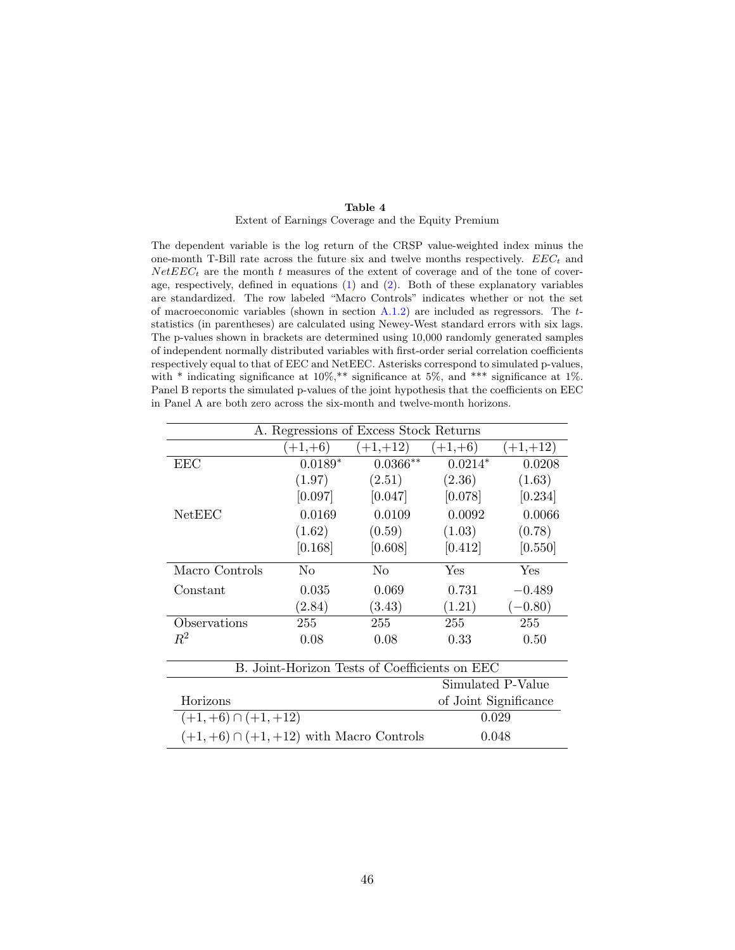#### Table 4

#### Extent of Earnings Coverage and the Equity Premium

<span id="page-46-0"></span>The dependent variable is the log return of the CRSP value-weighted index minus the one-month T-Bill rate across the future six and twelve months respectively.  $EEC_t$  and  $NetEEC<sub>t</sub>$  are the month t measures of the extent of coverage and of the tone of coverage, respectively, defined in equations [\(1\)](#page-10-1) and [\(2\)](#page-11-2). Both of these explanatory variables are standardized. The row labeled "Macro Controls" indicates whether or not the set of macroeconomic variables (shown in section  $A.1.2$ ) are included as regressors. The  $t$ statistics (in parentheses) are calculated using Newey-West standard errors with six lags. The p-values shown in brackets are determined using 10,000 randomly generated samples of independent normally distributed variables with first-order serial correlation coefficients respectively equal to that of EEC and NetEEC. Asterisks correspond to simulated p-values, with  $*$  indicating significance at 10%, $**$  significance at 5%, and  $***$  significance at 1%. Panel B reports the simulated p-values of the joint hypothesis that the coefficients on EEC in Panel A are both zero across the six-month and twelve-month horizons.

| A. Regressions of Excess Stock Returns        |                       |                |           |            |  |
|-----------------------------------------------|-----------------------|----------------|-----------|------------|--|
|                                               | $(+1,+6)$             | $(+1,+12)$     | $(+1,+6)$ | $(+1,+12)$ |  |
| EEC                                           | $0.0189*$             | $0.0366**$     | $0.0214*$ | 0.0208     |  |
|                                               | (1.97)                | (2.51)         | (2.36)    | (1.63)     |  |
|                                               | [0.097]               | [0.047]        | [0.078]   | [0.234]    |  |
| NetEEC                                        | 0.0169                | 0.0109         | 0.0092    | 0.0066     |  |
|                                               | (1.62)                | (0.59)         | (1.03)    | (0.78)     |  |
|                                               | [0.168]               | [0.608]        | [0.412]   | [0.550]    |  |
| Macro Controls                                | N <sub>0</sub>        | N <sub>0</sub> | Yes       | Yes        |  |
| Constant                                      | 0.035                 | 0.069          | 0.731     | $-0.489$   |  |
|                                               | (2.84)                | (3.43)         | (1.21)    | $(-0.80)$  |  |
| Observations                                  | 255                   | 255            | 255       | 255        |  |
| $R^2$                                         | 0.08                  | 0.08           | 0.33      | 0.50       |  |
| B. Joint-Horizon Tests of Coefficients on EEC |                       |                |           |            |  |
|                                               | Simulated P-Value     |                |           |            |  |
| Horizons                                      | of Joint Significance |                |           |            |  |

| Horizons                                    | of Joint Significance |
|---------------------------------------------|-----------------------|
| $(+1,+6) \cap (+1,+12)$                     | 0.029                 |
| $(+1,+6) \cap (+1,+12)$ with Macro Controls | 0.048                 |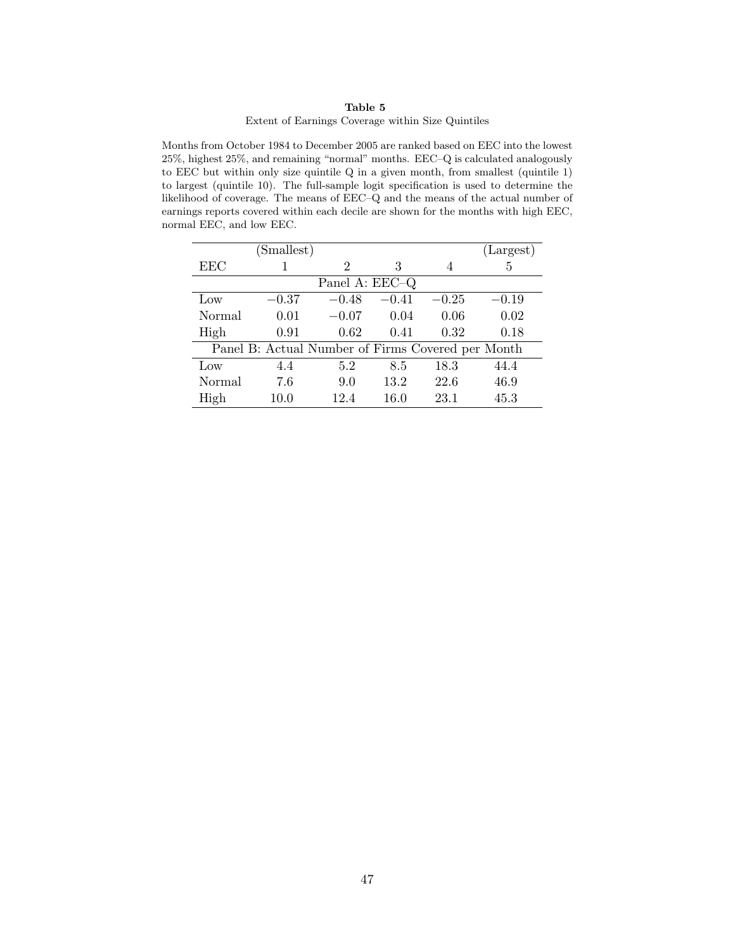#### Table 5

#### Extent of Earnings Coverage within Size Quintiles

<span id="page-47-0"></span>Months from October 1984 to December 2005 are ranked based on EEC into the lowest 25%, highest 25%, and remaining "normal" months. EEC–Q is calculated analogously to EEC but within only size quintile Q in a given month, from smallest (quintile 1) to largest (quintile 10). The full-sample logit specification is used to determine the likelihood of coverage. The means of EEC–Q and the means of the actual number of earnings reports covered within each decile are shown for the months with high EEC, normal EEC, and low EEC.

|        | (Smallest)                                        |                |         |         | (Largest) |
|--------|---------------------------------------------------|----------------|---------|---------|-----------|
| EEC    |                                                   | 2              | 3       | 4       | 5         |
|        |                                                   | Panel A: EEC-Q |         |         |           |
| Low    | $-0.37$                                           | $-0.48$        | $-0.41$ | $-0.25$ | $-0.19$   |
| Normal | 0.01                                              | $-0.07$        | 0.04    | 0.06    | 0.02      |
| High   | 0.91                                              | 0.62           | 0.41    | 0.32    | 0.18      |
|        | Panel B: Actual Number of Firms Covered per Month |                |         |         |           |
| Low    | 4.4                                               | 5.2            | 8.5     | 18.3    | 44.4      |
| Normal | 7.6                                               | 9.0            | 13.2    | 22.6    | 46.9      |
| High   | 10.0                                              | 12.4           | 16.0    | 23.1    | 45.3      |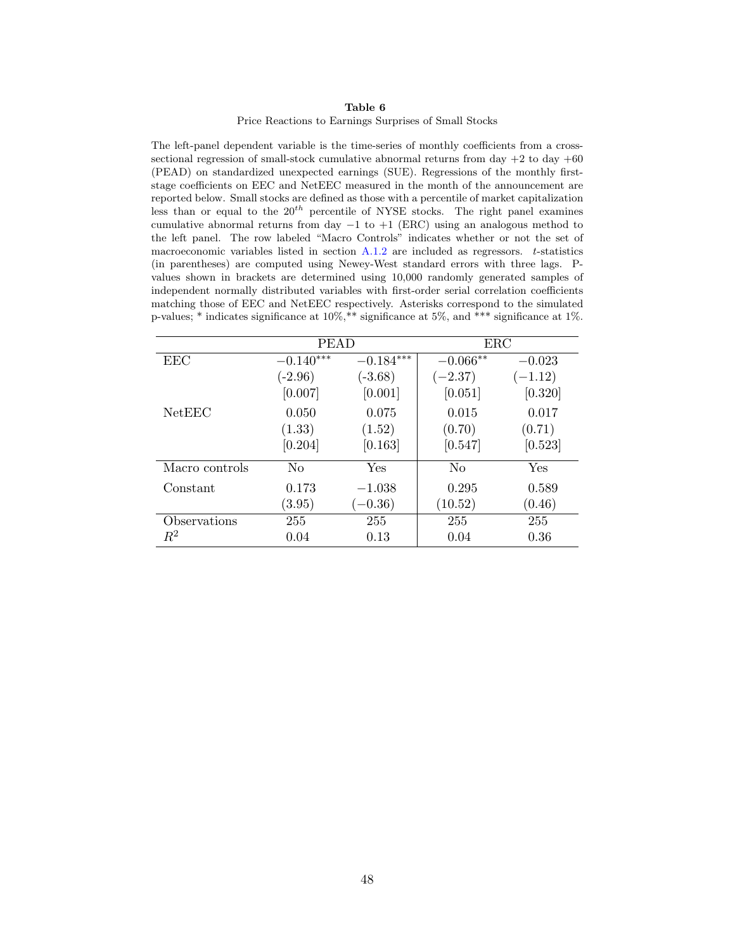#### Table 6 Price Reactions to Earnings Surprises of Small Stocks

<span id="page-48-0"></span>The left-panel dependent variable is the time-series of monthly coefficients from a crosssectional regression of small-stock cumulative abnormal returns from day  $+2$  to day  $+60$ (PEAD) on standardized unexpected earnings (SUE). Regressions of the monthly firststage coefficients on EEC and NetEEC measured in the month of the announcement are reported below. Small stocks are defined as those with a percentile of market capitalization less than or equal to the  $20^{th}$  percentile of NYSE stocks. The right panel examines cumulative abnormal returns from day  $-1$  to  $+1$  (ERC) using an analogous method to the left panel. The row labeled "Macro Controls" indicates whether or not the set of macroeconomic variables listed in section  $A.1.2$  are included as regressors. t-statistics (in parentheses) are computed using Newey-West standard errors with three lags. Pvalues shown in brackets are determined using 10,000 randomly generated samples of independent normally distributed variables with first-order serial correlation coefficients matching those of EEC and NetEEC respectively. Asterisks correspond to the simulated p-values;  $*$  indicates significance at 10%,  $**$  significance at 5%, and  $***$  significance at 1%.

|                | <b>PEAD</b>    |             | ERC            |           |
|----------------|----------------|-------------|----------------|-----------|
| EEC            | $-0.140***$    | $-0.184***$ | $-0.066**$     | $-0.023$  |
|                | $(-2.96)$      | $(-3.68)$   | $(-2.37)$      | $(-1.12)$ |
|                | [0.007]        | [0.001]     | [0.051]        | [0.320]   |
| NetEEC         | 0.050          | 0.075       | 0.015          | 0.017     |
|                | (1.33)         | (1.52)      | (0.70)         | (0.71)    |
|                | [0.204]        | [0.163]     | [0.547]        | [0.523]   |
| Macro controls | N <sub>0</sub> | Yes         | N <sub>0</sub> | Yes       |
| Constant       | 0.173          | $-1.038$    | 0.295          | 0.589     |
|                | (3.95)         | $(-0.36)$   | (10.52)        | (0.46)    |
| Observations   | 255            | 255         | 255            | 255       |
| $R^2$          | 0.04           | 0.13        | 0.04           | 0.36      |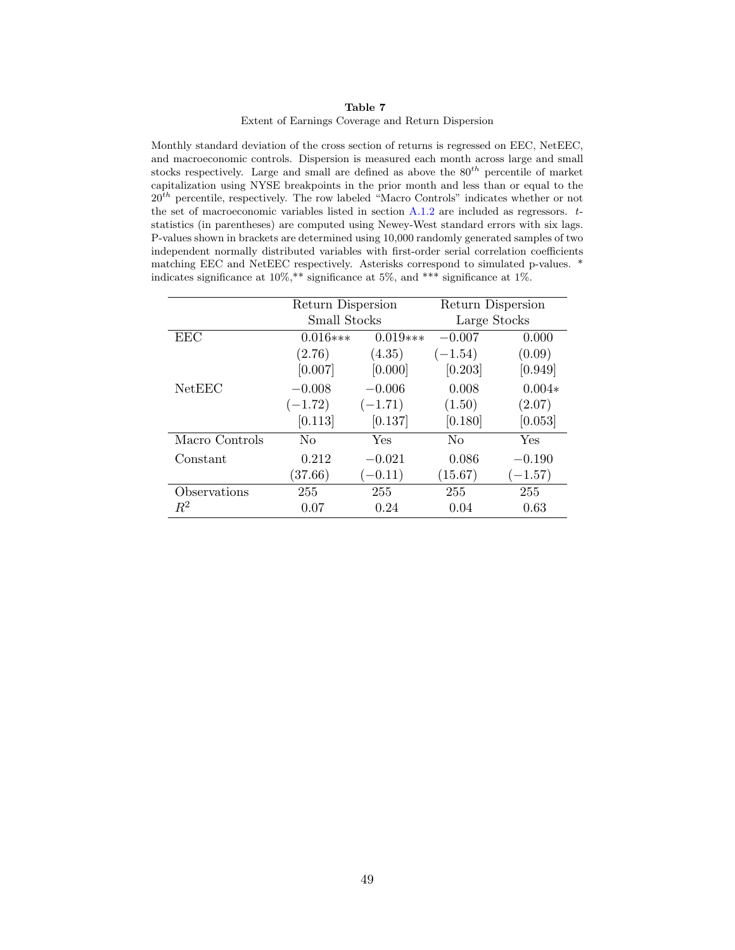#### Table 7 Extent of Earnings Coverage and Return Dispersion

<span id="page-49-0"></span>Monthly standard deviation of the cross section of returns is regressed on EEC, NetEEC, and macroeconomic controls. Dispersion is measured each month across large and small stocks respectively. Large and small are defined as above the  $80^{th}$  percentile of market capitalization using NYSE breakpoints in the prior month and less than or equal to the  $20<sup>th</sup>$  percentile, respectively. The row labeled "Macro Controls" indicates whether or not the set of macroeconomic variables listed in section  $A.1.2$  are included as regressors.  $t$ statistics (in parentheses) are computed using Newey-West standard errors with six lags. P-values shown in brackets are determined using 10,000 randomly generated samples of two independent normally distributed variables with first-order serial correlation coefficients matching EEC and NetEEC respectively. Asterisks correspond to simulated p-values. \* indicates significance at 10%,\*\* significance at 5%, and \*\*\* significance at 1%.

|                | Return Dispersion |            | Return Dispersion |           |
|----------------|-------------------|------------|-------------------|-----------|
|                | Small Stocks      |            | Large Stocks      |           |
| EEC            | $0.016***$        | $0.019***$ | $-0.007$          | 0.000     |
|                | (2.76)            | (4.35)     | $(-1.54)$         | (0.09)    |
|                | [0.007]           | [0.000]    | [0.203]           | [0.949]   |
| NetEEC         | $-0.008$          | $-0.006$   | 0.008             | $0.004*$  |
|                | $(-1.72)$         | $(-1.71)$  | (1.50)            | (2.07)    |
|                | [0.113]           | [0.137]    | [0.180]           | [0.053]   |
| Macro Controls | No                | Yes        | N <sub>0</sub>    | Yes       |
| Constant       | 0.212             | $-0.021$   | 0.086             | $-0.190$  |
|                | (37.66)           | $(-0.11)$  | (15.67)           | $(-1.57)$ |
| Observations   | 255               | 255        | 255               | 255       |
| $R^2$          | 0.07              | 0.24       | 0.04              | 0.63      |